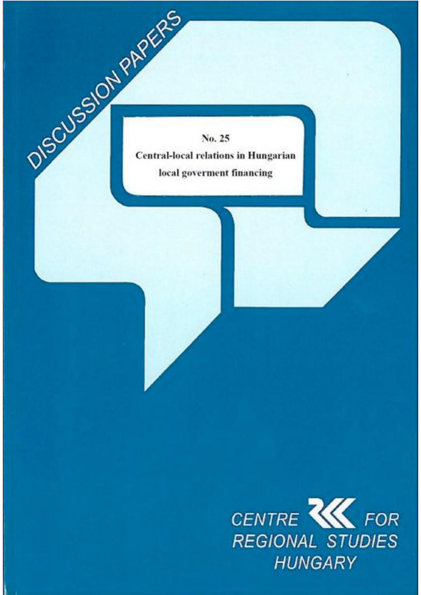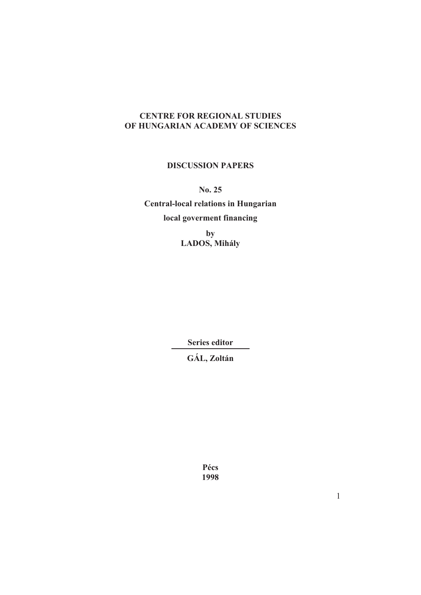# **CENTRE FOR REGIONAL STUDIES OF HUNGARIAN ACADEMY OF SCIENCES**

### **DISCUSSION PAPERS**

**No. 25** 

**Central-local relations in Hungarian local goverment financing**

> **by LADOS, Mihály**

> > **Series editor**

**GÁL, Zoltán**

**Pécs 1998**

1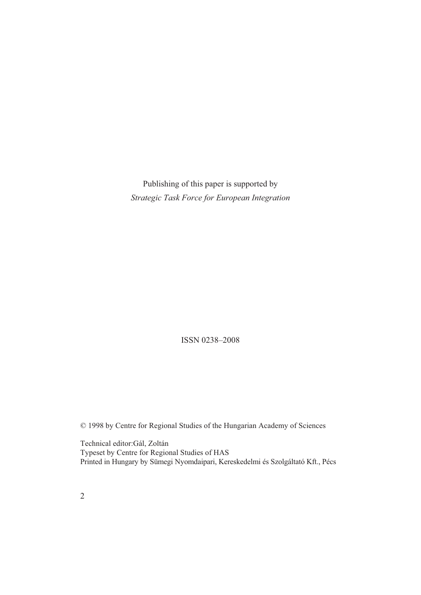Publishing of this paper is supported by *Strategic Task Force for European Integration* 

ISSN 0238–2008

© 1998 by Centre for Regional Studies of the Hungarian Academy of Sciences

Technical editor:Gál, Zoltán Typeset by Centre for Regional Studies of HAS Printed in Hungary by Sümegi Nyomdaipari, Kereskedelmi és Szolgáltató Kft., Pécs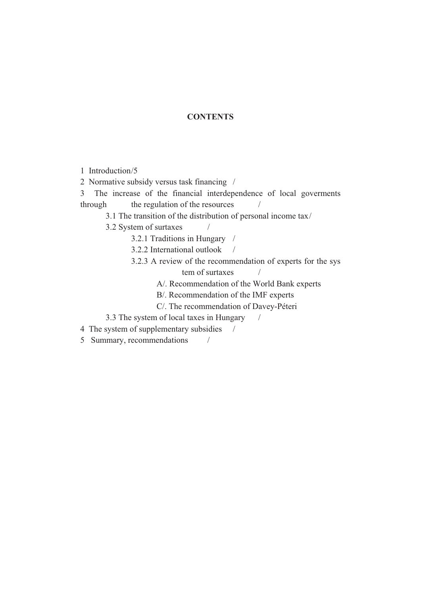## **CONTENTS**

- 1 Introduction /5
- 2 Normative subsidy versus task financing /
- 3 The increase of the financial interdependence of local goverments  $through$  the regulation of the resources  $/$ 
	- 3.1 The transition of the distribution of personal income tax /
	- 3.2 System of surtaxes /
		- 3.2.1 Traditions in Hungary /
		- 3.2.2 International outlook /
		- 3.2.3 A review of the recommendation of experts for the sys  $tem$  of surtaxes  $/$ 
			- A/. Recommendation of the World Bank experts
			- B/. Recommendation of the IMF experts
			- C/. The recommendation of Davey-Péteri
	- 3.3 The system of local taxes in Hungary /
- 4 The system of supplementary subsidies /
- 5 Summary, recommendations /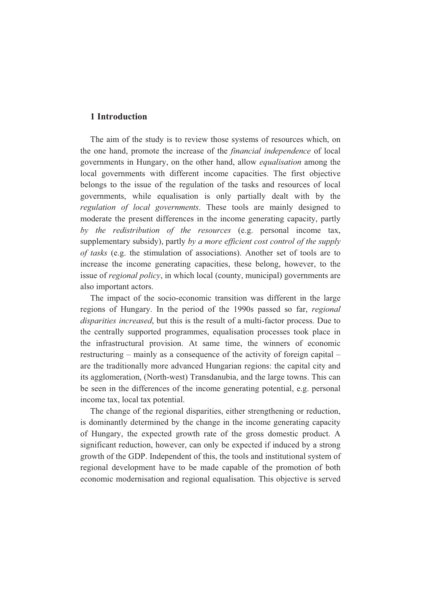### **1 Introduction**

The aim of the study is to review those systems of resources which, on the one hand, promote the increase of the *financial independence* of local governments in Hungary, on the other hand, allow *equalisation* among the local governments with different income capacities. The first objective belongs to the issue of the regulation of the tasks and resources of local governments, while equalisation is only partially dealt with by the *regulation of local governments*. These tools are mainly designed to moderate the present differences in the income generating capacity, partly *by the redistribution of the resources* (e.g. personal income tax, supplementary subsidy), partly *by a more efficient cost control of the supply of tasks* (e.g. the stimulation of associations). Another set of tools are to increase the income generating capacities, these belong, however, to the issue of *regional policy*, in which local (county, municipal) governments are also important actors.

The impact of the socio-economic transition was different in the large regions of Hungary. In the period of the 1990s passed so far, *regional disparities increased*, but this is the result of a multi-factor process. Due to the centrally supported programmes, equalisation processes took place in the infrastructural provision. At same time, the winners of economic restructuring – mainly as a consequence of the activity of foreign capital – are the traditionally more advanced Hungarian regions: the capital city and its agglomeration, (North-west) Transdanubia, and the large towns. This can be seen in the differences of the income generating potential, e.g. personal income tax, local tax potential.

The change of the regional disparities, either strengthening or reduction, is dominantly determined by the change in the income generating capacity of Hungary, the expected growth rate of the gross domestic product. A significant reduction, however, can only be expected if induced by a strong growth of the GDP. Independent of this, the tools and institutional system of regional development have to be made capable of the promotion of both economic modernisation and regional equalisation. This objective is served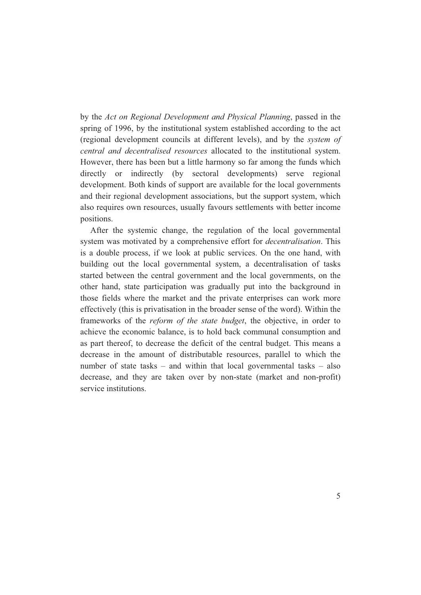by the *Act on Regional Development and Physical Planning*, passed in the spring of 1996, by the institutional system established according to the act (regional development councils at different levels), and by the *system of central and decentralised resources* allocated to the institutional system. However, there has been but a little harmony so far among the funds which directly or indirectly (by sectoral developments) serve regional development. Both kinds of support are available for the local governments and their regional development associations, but the support system, which also requires own resources, usually favours settlements with better income positions.

After the systemic change, the regulation of the local governmental system was motivated by a comprehensive effort for *decentralisation*. This is a double process, if we look at public services. On the one hand, with building out the local governmental system, a decentralisation of tasks started between the central government and the local governments, on the other hand, state participation was gradually put into the background in those fields where the market and the private enterprises can work more effectively (this is privatisation in the broader sense of the word). Within the frameworks of the *reform of the state budget*, the objective, in order to achieve the economic balance, is to hold back communal consumption and as part thereof, to decrease the deficit of the central budget. This means a decrease in the amount of distributable resources, parallel to which the number of state tasks – and within that local governmental tasks – also decrease, and they are taken over by non-state (market and non-profit) service institutions.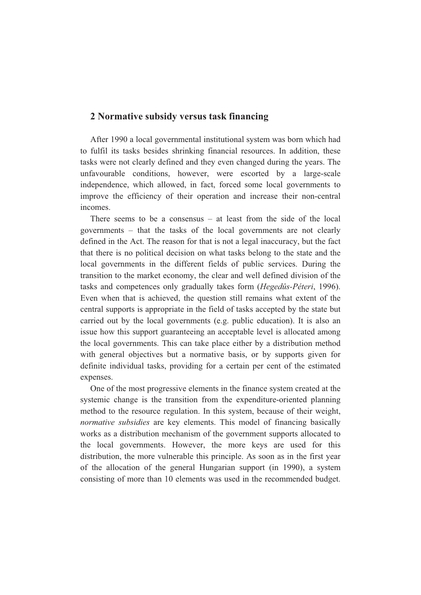## **2 Normative subsidy versus task financing**

After 1990 a local governmental institutional system was born which had to fulfil its tasks besides shrinking financial resources. In addition, these tasks were not clearly defined and they even changed during the years. The unfavourable conditions, however, were escorted by a large-scale independence, which allowed, in fact, forced some local governments to improve the efficiency of their operation and increase their non-central incomes.

There seems to be a consensus – at least from the side of the local governments – that the tasks of the local governments are not clearly defined in the Act. The reason for that is not a legal inaccuracy, but the fact that there is no political decision on what tasks belong to the state and the local governments in the different fields of public services. During the transition to the market economy, the clear and well defined division of the tasks and competences only gradually takes form (*Hegedûs-Péteri*, 1996). Even when that is achieved, the question still remains what extent of the central supports is appropriate in the field of tasks accepted by the state but carried out by the local governments (e.g. public education). It is also an issue how this support guaranteeing an acceptable level is allocated among the local governments. This can take place either by a distribution method with general objectives but a normative basis, or by supports given for definite individual tasks, providing for a certain per cent of the estimated expenses.

One of the most progressive elements in the finance system created at the systemic change is the transition from the expenditure-oriented planning method to the resource regulation. In this system, because of their weight, *normative subsidies* are key elements. This model of financing basically works as a distribution mechanism of the government supports allocated to the local governments. However, the more keys are used for this distribution, the more vulnerable this principle. As soon as in the first year of the allocation of the general Hungarian support (in 1990), a system consisting of more than 10 elements was used in the recommended budget.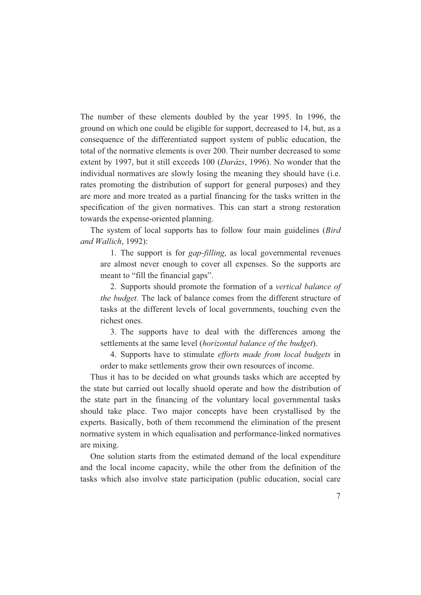The number of these elements doubled by the year 1995. In 1996, the ground on which one could be eligible for support, decreased to 14, but, as a consequence of the differentiated support system of public education, the total of the normative elements is over 200. Their number decreased to some extent by 1997, but it still exceeds 100 (*Darázs*, 1996). No wonder that the individual normatives are slowly losing the meaning they should have (i.e. rates promoting the distribution of support for general purposes) and they are more and more treated as a partial financing for the tasks written in the specification of the given normatives. This can start a strong restoration towards the expense-oriented planning.

The system of local supports has to follow four main guidelines (*Bird and Wallich*, 1992):

1. The support is for *gap-filling*, as local governmental revenues are almost never enough to cover all expenses. So the supports are meant to "fill the financial gaps".

2. Supports should promote the formation of a *vertical balance of the budget*. The lack of balance comes from the different structure of tasks at the different levels of local governments, touching even the richest ones.

3. The supports have to deal with the differences among the settlements at the same level (*horizontal balance of the budget*).

4. Supports have to stimulate *efforts made from local budgets* in order to make settlements grow their own resources of income.

Thus it has to be decided on what grounds tasks which are accepted by the state but carried out locally shuold operate and how the distribution of the state part in the financing of the voluntary local governmental tasks should take place. Two major concepts have been crystallised by the experts. Basically, both of them recommend the elimination of the present normative system in which equalisation and performance-linked normatives are mixing.

One solution starts from the estimated demand of the local expenditure and the local income capacity, while the other from the definition of the tasks which also involve state participation (public education, social care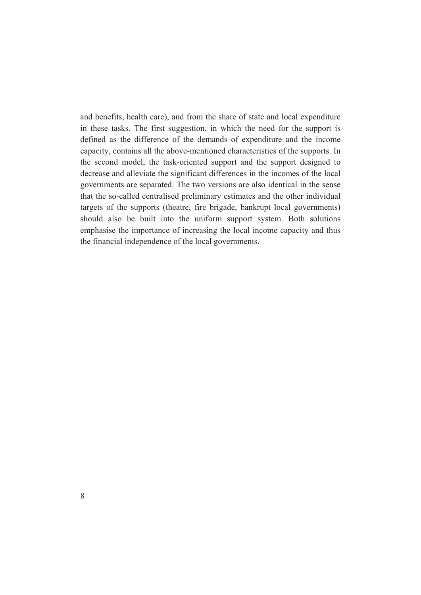and benefits, health care), and from the share of state and local expenditure in these tasks. The first suggestion, in which the need for the support is defined as the difference of the demands of expenditure and the income capacity, contains all the above-mentioned characteristics of the supports. In the second model, the task-oriented support and the support designed to decrease and alleviate the significant differences in the incomes of the local governments are separated. The two versions are also identical in the sense that the so-called centralised preliminary estimates and the other individual targets of the supports (theatre, fire brigade, bankrupt local governments) should also be built into the uniform support system. Both solutions emphasise the importance of increasing the local income capacity and thus the financial independence of the local governments.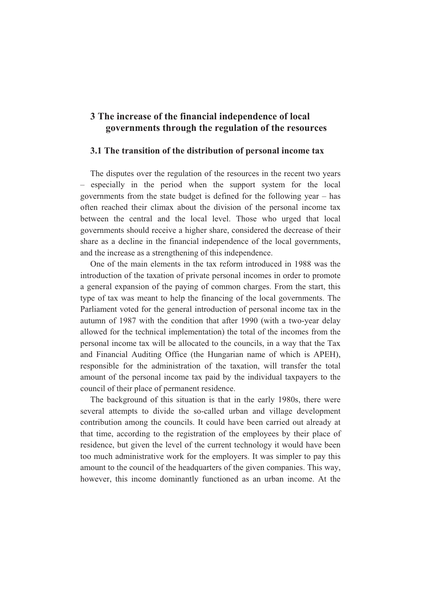# **3 The increase of the financial independence of local governments through the regulation of the resources**

### **3.1 The transition of the distribution of personal income tax**

The disputes over the regulation of the resources in the recent two years – especially in the period when the support system for the local governments from the state budget is defined for the following year – has often reached their climax about the division of the personal income tax between the central and the local level. Those who urged that local governments should receive a higher share, considered the decrease of their share as a decline in the financial independence of the local governments, and the increase as a strengthening of this independence.

One of the main elements in the tax reform introduced in 1988 was the introduction of the taxation of private personal incomes in order to promote a general expansion of the paying of common charges. From the start, this type of tax was meant to help the financing of the local governments. The Parliament voted for the general introduction of personal income tax in the autumn of 1987 with the condition that after 1990 (with a two-year delay allowed for the technical implementation) the total of the incomes from the personal income tax will be allocated to the councils, in a way that the Tax and Financial Auditing Office (the Hungarian name of which is APEH), responsible for the administration of the taxation, will transfer the total amount of the personal income tax paid by the individual taxpayers to the council of their place of permanent residence.

The background of this situation is that in the early 1980s, there were several attempts to divide the so-called urban and village development contribution among the councils. It could have been carried out already at that time, according to the registration of the employees by their place of residence, but given the level of the current technology it would have been too much administrative work for the employers. It was simpler to pay this amount to the council of the headquarters of the given companies. This way, however, this income dominantly functioned as an urban income. At the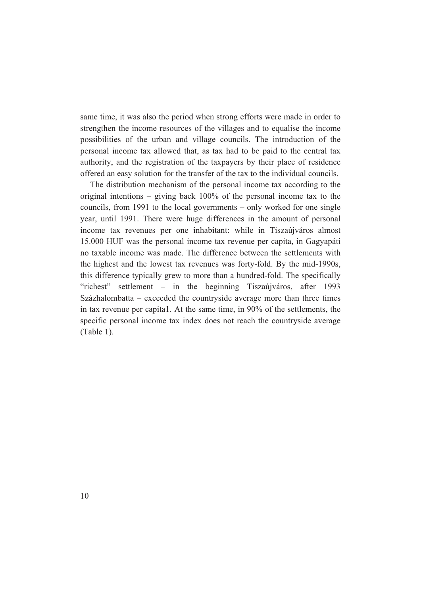same time, it was also the period when strong efforts were made in order to strengthen the income resources of the villages and to equalise the income possibilities of the urban and village councils. The introduction of the personal income tax allowed that, as tax had to be paid to the central tax authority, and the registration of the taxpayers by their place of residence offered an easy solution for the transfer of the tax to the individual councils.

The distribution mechanism of the personal income tax according to the original intentions – giving back 100% of the personal income tax to the councils, from 1991 to the local governments – only worked for one single year, until 1991. There were huge differences in the amount of personal income tax revenues per one inhabitant: while in Tiszaújváros almost 15.000 HUF was the personal income tax revenue per capita, in Gagyapáti no taxable income was made. The difference between the settlements with the highest and the lowest tax revenues was forty-fold. By the mid-1990s, this difference typically grew to more than a hundred-fold. The specifically "richest" settlement – in the beginning Tiszaújváros, after 1993 Százhalombatta – exceeded the countryside average more than three times in tax revenue per capita1. At the same time, in 90% of the settlements, the specific personal income tax index does not reach the countryside average (Table 1).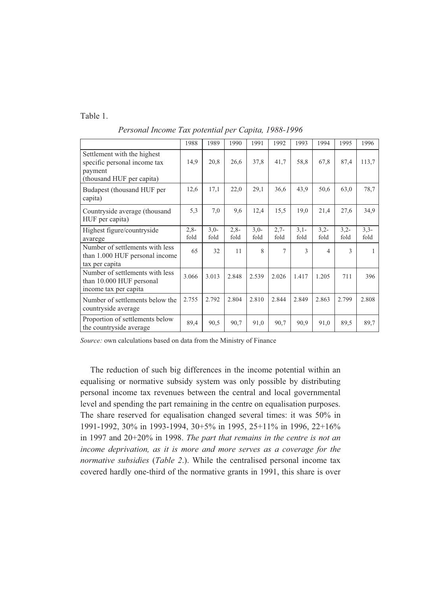Table 1.

|                                                                                                     | 1988           | 1989           | 1990           | 1991           | 1992           | 1993           | 1994           | 1995           | 1996           |
|-----------------------------------------------------------------------------------------------------|----------------|----------------|----------------|----------------|----------------|----------------|----------------|----------------|----------------|
| Settlement with the highest<br>specific personal income tax<br>payment<br>(thousand HUF per capita) | 14,9           | 20,8           | 26,6           | 37,8           | 41,7           | 58,8           | 67,8           | 87,4           | 113,7          |
| Budapest (thousand HUF per<br>capita)                                                               | 12,6           | 17,1           | 22,0           | 29,1           | 36,6           | 43,9           | 50,6           | 63,0           | 78,7           |
| Countryside average (thousand<br>HUF per capita)                                                    | 5,3            | 7,0            | 9,6            | 12,4           | 15,5           | 19,0           | 21,4           | 27,6           | 34,9           |
| Highest figure/countryside<br>avarege                                                               | $2,8-$<br>fold | $3,0-$<br>fold | $2,8-$<br>fold | $3,0-$<br>fold | $2,7-$<br>fold | $3,1-$<br>fold | $3,2-$<br>fold | $3,2-$<br>fold | $3,3-$<br>fold |
| Number of settlements with less<br>than 1.000 HUF personal income<br>tax per capita                 | 65             | 32             | 11             | 8              | 7              | $\mathcal{E}$  | $\overline{4}$ | $\mathcal{L}$  |                |
| Number of settlements with less<br>than 10.000 HUF personal<br>income tax per capita                | 3.066          | 3.013          | 2.848          | 2.539          | 2.026          | 1.417          | 1.205          | 711            | 396            |
| Number of settlements below the<br>countryside average                                              | 2.755          | 2.792          | 2.804          | 2.810          | 2.844          | 2.849          | 2.863          | 2.799          | 2.808          |
| Proportion of settlements below<br>the countryside average                                          | 89,4           | 90,5           | 90,7           | 91,0           | 90,7           | 90,9           | 91,0           | 89,5           | 89,7           |

*Personal Income Tax potential per Capita, 1988-1996* 

*Source:* own calculations based on data from the Ministry of Finance

The reduction of such big differences in the income potential within an equalising or normative subsidy system was only possible by distributing personal income tax revenues between the central and local governmental level and spending the part remaining in the centre on equalisation purposes. The share reserved for equalisation changed several times: it was 50% in 1991-1992, 30% in 1993-1994, 30+5% in 1995, 25+11% in 1996, 22+16% in 1997 and 20+20% in 1998. *The part that remains in the centre is not an income deprivation, as it is more and more serves as a coverage for the normative subsidies* (*Table 2*.). While the centralised personal income tax covered hardly one-third of the normative grants in 1991, this share is over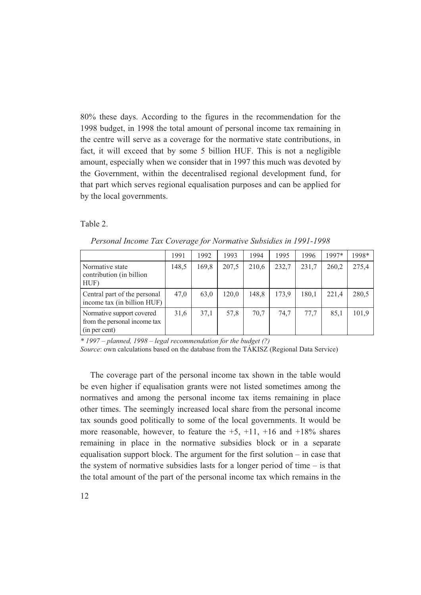80% these days. According to the figures in the recommendation for the 1998 budget, in 1998 the total amount of personal income tax remaining in the centre will serve as a coverage for the normative state contributions, in fact, it will exceed that by some 5 billion HUF. This is not a negligible amount, especially when we consider that in 1997 this much was devoted by the Government, within the decentralised regional development fund, for that part which serves regional equalisation purposes and can be applied for by the local governments.

Table 2.

| Personal Income Tax Coverage for Normative Subsidies in 1991-1998 |  |  |                                                               |  |  |  |  |  |  |
|-------------------------------------------------------------------|--|--|---------------------------------------------------------------|--|--|--|--|--|--|
|                                                                   |  |  | $1991$   $1992$   $1993$   $1994$   $1995$   $1996$   $1997*$ |  |  |  |  |  |  |

|                                                                            | 1991  | 1992  | 1993  | 1994  | 1995  | 1996  | 1997* | 1998* |
|----------------------------------------------------------------------------|-------|-------|-------|-------|-------|-------|-------|-------|
| Normative state<br>contribution (in billion<br>HUF)                        | 148,5 | 169,8 | 207,5 | 210,6 | 232,7 | 231,7 | 260.2 | 275,4 |
| Central part of the personal<br>income tax (in billion HUF)                | 47,0  | 63,0  | 120.0 | 148,8 | 173,9 | 180,1 | 221,4 | 280,5 |
| Normative support covered<br>from the personal income tax<br>(in per cent) | 31,6  | 37,1  | 57,8  | 70,7  | 74.7  | 77.7  | 85,1  | 101,9 |

*\* 1997 – planned, 1998 – legal recommendation for the budget (?)* 

*Source*: own calculations based on the database from the TÁKISZ (Regional Data Service)

The coverage part of the personal income tax shown in the table would be even higher if equalisation grants were not listed sometimes among the normatives and among the personal income tax items remaining in place other times. The seemingly increased local share from the personal income tax sounds good politically to some of the local governments. It would be more reasonable, however, to feature the  $+5$ ,  $+11$ ,  $+16$  and  $+18\%$  shares remaining in place in the normative subsidies block or in a separate equalisation support block. The argument for the first solution – in case that the system of normative subsidies lasts for a longer period of time  $-$  is that the total amount of the part of the personal income tax which remains in the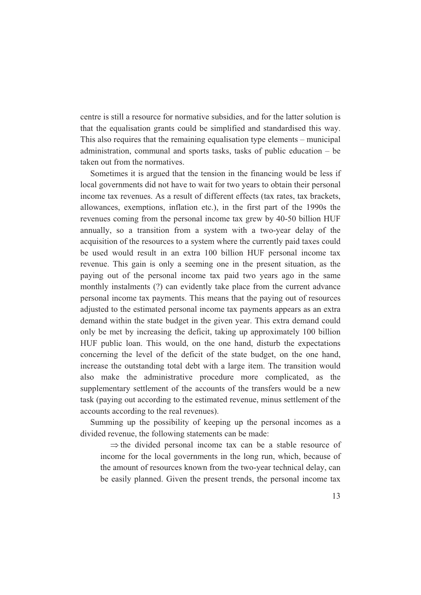centre is still a resource for normative subsidies, and for the latter solution is that the equalisation grants could be simplified and standardised this way. This also requires that the remaining equalisation type elements – municipal administration, communal and sports tasks, tasks of public education – be taken out from the normatives.

Sometimes it is argued that the tension in the financing would be less if local governments did not have to wait for two years to obtain their personal income tax revenues. As a result of different effects (tax rates, tax brackets, allowances, exemptions, inflation etc.), in the first part of the 1990s the revenues coming from the personal income tax grew by 40-50 billion HUF annually, so a transition from a system with a two-year delay of the acquisition of the resources to a system where the currently paid taxes could be used would result in an extra 100 billion HUF personal income tax revenue. This gain is only a seeming one in the present situation, as the paying out of the personal income tax paid two years ago in the same monthly instalments (?) can evidently take place from the current advance personal income tax payments. This means that the paying out of resources adjusted to the estimated personal income tax payments appears as an extra demand within the state budget in the given year. This extra demand could only be met by increasing the deficit, taking up approximately 100 billion HUF public loan. This would, on the one hand, disturb the expectations concerning the level of the deficit of the state budget, on the one hand, increase the outstanding total debt with a large item. The transition would also make the administrative procedure more complicated, as the supplementary settlement of the accounts of the transfers would be a new task (paying out according to the estimated revenue, minus settlement of the accounts according to the real revenues).

Summing up the possibility of keeping up the personal incomes as a divided revenue, the following statements can be made:

 $\Rightarrow$  the divided personal income tax can be a stable resource of income for the local governments in the long run, which, because of the amount of resources known from the two-year technical delay, can be easily planned. Given the present trends, the personal income tax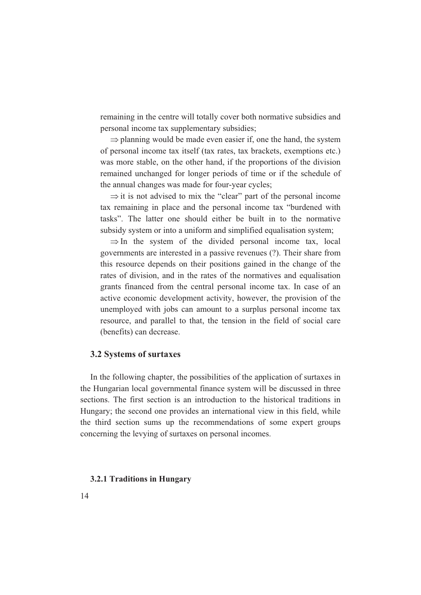remaining in the centre will totally cover both normative subsidies and personal income tax supplementary subsidies;

 $\Rightarrow$  planning would be made even easier if, one the hand, the system of personal income tax itself (tax rates, tax brackets, exemptions etc.) was more stable, on the other hand, if the proportions of the division remained unchanged for longer periods of time or if the schedule of the annual changes was made for four-year cycles;

 $\Rightarrow$  it is not advised to mix the "clear" part of the personal income tax remaining in place and the personal income tax "burdened with tasks". The latter one should either be built in to the normative subsidy system or into a uniform and simplified equalisation system;

 $\Rightarrow$  In the system of the divided personal income tax, local governments are interested in a passive revenues (?). Their share from this resource depends on their positions gained in the change of the rates of division, and in the rates of the normatives and equalisation grants financed from the central personal income tax. In case of an active economic development activity, however, the provision of the unemployed with jobs can amount to a surplus personal income tax resource, and parallel to that, the tension in the field of social care (benefits) can decrease.

### **3.2 Systems of surtaxes**

In the following chapter, the possibilities of the application of surtaxes in the Hungarian local governmental finance system will be discussed in three sections. The first section is an introduction to the historical traditions in Hungary; the second one provides an international view in this field, while the third section sums up the recommendations of some expert groups concerning the levying of surtaxes on personal incomes.

#### **3.2.1 Traditions in Hungary**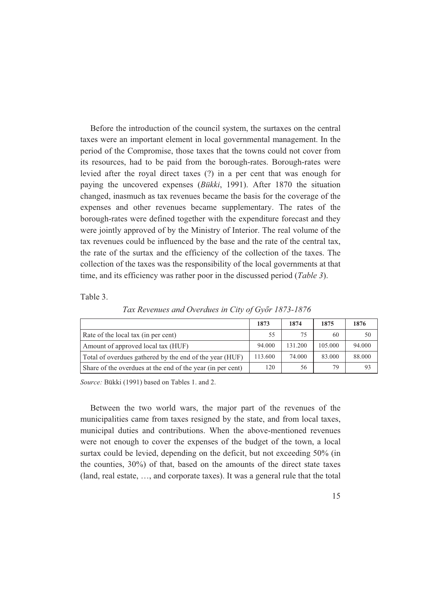Before the introduction of the council system, the surtaxes on the central taxes were an important element in local governmental management. In the period of the Compromise, those taxes that the towns could not cover from its resources, had to be paid from the borough-rates. Borough-rates were levied after the royal direct taxes (?) in a per cent that was enough for paying the uncovered expenses (*Bükki*, 1991). After 1870 the situation changed, inasmuch as tax revenues became the basis for the coverage of the expenses and other revenues became supplementary. The rates of the borough-rates were defined together with the expenditure forecast and they were jointly approved of by the Ministry of Interior. The real volume of the tax revenues could be influenced by the base and the rate of the central tax, the rate of the surtax and the efficiency of the collection of the taxes. The collection of the taxes was the responsibility of the local governments at that time, and its efficiency was rather poor in the discussed period (*Table 3*).

Table 3.

|                                                            | 1873    | 1874    | 1875    | 1876   |
|------------------------------------------------------------|---------|---------|---------|--------|
| Rate of the local tax (in per cent)                        | 55      | 75      | 60      | 50     |
| Amount of approved local tax (HUF)                         | 94.000  | 131.200 | 105.000 | 94.000 |
| Total of overdues gathered by the end of the year (HUF)    | 113.600 | 74.000  | 83.000  | 88,000 |
| Share of the overdues at the end of the year (in per cent) | 120     | 56      | 79      | 93     |

*Tax Revenues and Overdues in City of Győr 1873-1876* 

*Source:* Bükki (1991) based on Tables 1. and 2.

Between the two world wars, the major part of the revenues of the municipalities came from taxes resigned by the state, and from local taxes, municipal duties and contributions. When the above-mentioned revenues were not enough to cover the expenses of the budget of the town, a local surtax could be levied, depending on the deficit, but not exceeding 50% (in the counties, 30%) of that, based on the amounts of the direct state taxes (land, real estate, …, and corporate taxes). It was a general rule that the total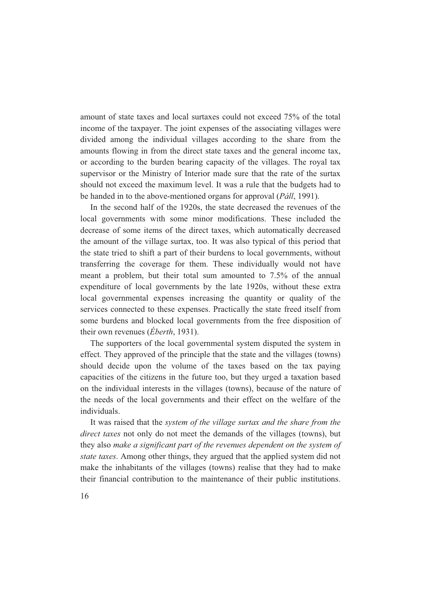amount of state taxes and local surtaxes could not exceed 75% of the total income of the taxpayer. The joint expenses of the associating villages were divided among the individual villages according to the share from the amounts flowing in from the direct state taxes and the general income tax, or according to the burden bearing capacity of the villages. The royal tax supervisor or the Ministry of Interior made sure that the rate of the surtax should not exceed the maximum level. It was a rule that the budgets had to be handed in to the above-mentioned organs for approval (*Páll*, 1991).

In the second half of the 1920s, the state decreased the revenues of the local governments with some minor modifications. These included the decrease of some items of the direct taxes, which automatically decreased the amount of the village surtax, too. It was also typical of this period that the state tried to shift a part of their burdens to local governments, without transferring the coverage for them. These individually would not have meant a problem, but their total sum amounted to 7.5% of the annual expenditure of local governments by the late 1920s, without these extra local governmental expenses increasing the quantity or quality of the services connected to these expenses. Practically the state freed itself from some burdens and blocked local governments from the free disposition of their own revenues (*Éberth*, 1931).

The supporters of the local governmental system disputed the system in effect. They approved of the principle that the state and the villages (towns) should decide upon the volume of the taxes based on the tax paying capacities of the citizens in the future too, but they urged a taxation based on the individual interests in the villages (towns), because of the nature of the needs of the local governments and their effect on the welfare of the individuals.

It was raised that the *system of the village surtax and the share from the direct taxes* not only do not meet the demands of the villages (towns), but they also *make a significant part of the revenues dependent on the system of state taxes*. Among other things, they argued that the applied system did not make the inhabitants of the villages (towns) realise that they had to make their financial contribution to the maintenance of their public institutions.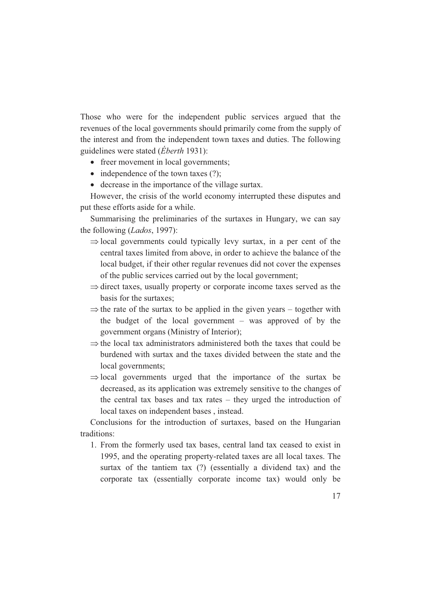Those who were for the independent public services argued that the revenues of the local governments should primarily come from the supply of the interest and from the independent town taxes and duties. The following guidelines were stated (*Éberth* 1931):

- freer movement in local governments;
- $\bullet$  independence of the town taxes (?);
- decrease in the importance of the village surtax.

However, the crisis of the world economy interrupted these disputes and put these efforts aside for a while.

Summarising the preliminaries of the surtaxes in Hungary, we can say the following (*Lados*, 1997):

- $\Rightarrow$  local governments could typically levy surtax, in a per cent of the central taxes limited from above, in order to achieve the balance of the local budget, if their other regular revenues did not cover the expenses of the public services carried out by the local government;
- $\Rightarrow$  direct taxes, usually property or corporate income taxes served as the basis for the surtaxes;
- $\Rightarrow$  the rate of the surtax to be applied in the given years together with the budget of the local government – was approved of by the government organs (Ministry of Interior);
- $\Rightarrow$  the local tax administrators administered both the taxes that could be burdened with surtax and the taxes divided between the state and the local governments;
- $\Rightarrow$  local governments urged that the importance of the surtax be decreased, as its application was extremely sensitive to the changes of the central tax bases and tax rates – they urged the introduction of local taxes on independent bases , instead.

Conclusions for the introduction of surtaxes, based on the Hungarian traditions:

1. From the formerly used tax bases, central land tax ceased to exist in 1995, and the operating property-related taxes are all local taxes. The surtax of the tantiem tax (?) (essentially a dividend tax) and the corporate tax (essentially corporate income tax) would only be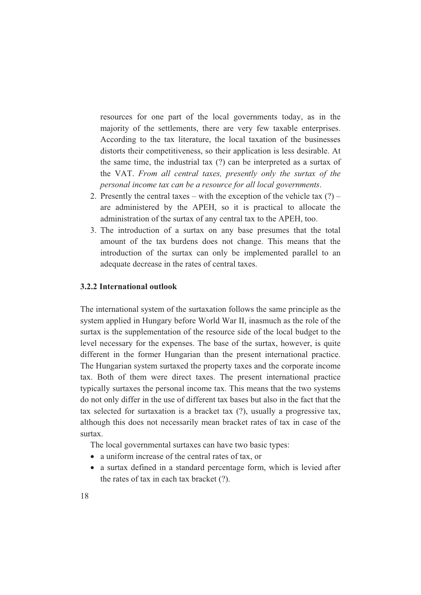resources for one part of the local governments today, as in the majority of the settlements, there are very few taxable enterprises. According to the tax literature, the local taxation of the businesses distorts their competitiveness, so their application is less desirable. At the same time, the industrial tax (?) can be interpreted as a surtax of the VAT. *From all central taxes, presently only the surtax of the personal income tax can be a resource for all local governments*.

- 2. Presently the central taxes with the exception of the vehicle tax  $(?)$  are administered by the APEH, so it is practical to allocate the administration of the surtax of any central tax to the APEH, too.
- 3. The introduction of a surtax on any base presumes that the total amount of the tax burdens does not change. This means that the introduction of the surtax can only be implemented parallel to an adequate decrease in the rates of central taxes.

### **3.2.2 International outlook**

The international system of the surtaxation follows the same principle as the system applied in Hungary before World War II, inasmuch as the role of the surtax is the supplementation of the resource side of the local budget to the level necessary for the expenses. The base of the surtax, however, is quite different in the former Hungarian than the present international practice. The Hungarian system surtaxed the property taxes and the corporate income tax. Both of them were direct taxes. The present international practice typically surtaxes the personal income tax. This means that the two systems do not only differ in the use of different tax bases but also in the fact that the tax selected for surtaxation is a bracket tax (?), usually a progressive tax, although this does not necessarily mean bracket rates of tax in case of the surtax.

The local governmental surtaxes can have two basic types:

- a uniform increase of the central rates of tax, or
- a surtax defined in a standard percentage form, which is levied after the rates of tax in each tax bracket (?).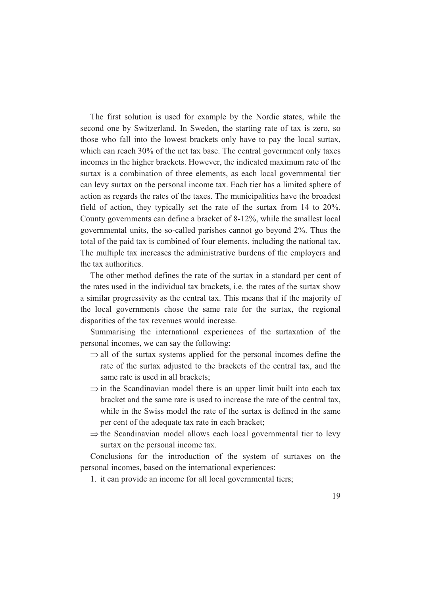The first solution is used for example by the Nordic states, while the second one by Switzerland. In Sweden, the starting rate of tax is zero, so those who fall into the lowest brackets only have to pay the local surtax, which can reach 30% of the net tax base. The central government only taxes incomes in the higher brackets. However, the indicated maximum rate of the surtax is a combination of three elements, as each local governmental tier can levy surtax on the personal income tax. Each tier has a limited sphere of action as regards the rates of the taxes. The municipalities have the broadest field of action, they typically set the rate of the surtax from 14 to 20%. County governments can define a bracket of 8-12%, while the smallest local governmental units, the so-called parishes cannot go beyond 2%. Thus the total of the paid tax is combined of four elements, including the national tax. The multiple tax increases the administrative burdens of the employers and the tax authorities.

The other method defines the rate of the surtax in a standard per cent of the rates used in the individual tax brackets, i.e. the rates of the surtax show a similar progressivity as the central tax. This means that if the majority of the local governments chose the same rate for the surtax, the regional disparities of the tax revenues would increase.

Summarising the international experiences of the surtaxation of the personal incomes, we can say the following:

- $\Rightarrow$  all of the surtax systems applied for the personal incomes define the rate of the surtax adjusted to the brackets of the central tax, and the same rate is used in all brackets;
- $\Rightarrow$  in the Scandinavian model there is an upper limit built into each tax bracket and the same rate is used to increase the rate of the central tax, while in the Swiss model the rate of the surtax is defined in the same per cent of the adequate tax rate in each bracket;
- $\Rightarrow$  the Scandinavian model allows each local governmental tier to levy surtax on the personal income tax.

Conclusions for the introduction of the system of surtaxes on the personal incomes, based on the international experiences:

1. it can provide an income for all local governmental tiers;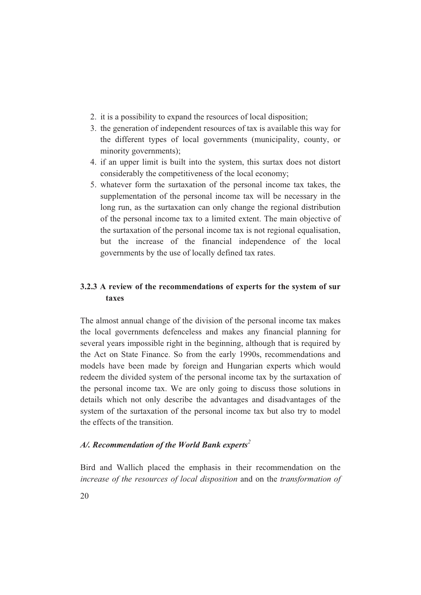- 2. it is a possibility to expand the resources of local disposition;
- 3. the generation of independent resources of tax is available this way for the different types of local governments (municipality, county, or minority governments);
- 4. if an upper limit is built into the system, this surtax does not distort considerably the competitiveness of the local economy;
- 5. whatever form the surtaxation of the personal income tax takes, the supplementation of the personal income tax will be necessary in the long run, as the surtaxation can only change the regional distribution of the personal income tax to a limited extent. The main objective of the surtaxation of the personal income tax is not regional equalisation, but the increase of the financial independence of the local governments by the use of locally defined tax rates.

# **3.2.3 A review of the recommendations of experts for the system of sur taxes**

The almost annual change of the division of the personal income tax makes the local governments defenceless and makes any financial planning for several years impossible right in the beginning, although that is required by the Act on State Finance. So from the early 1990s, recommendations and models have been made by foreign and Hungarian experts which would redeem the divided system of the personal income tax by the surtaxation of the personal income tax. We are only going to discuss those solutions in details which not only describe the advantages and disadvantages of the system of the surtaxation of the personal income tax but also try to model the effects of the transition.

## *A/. Recommendation of the World Bank experts<sup>2</sup>*

Bird and Wallich placed the emphasis in their recommendation on the *increase of the resources of local disposition* and on the *transformation of*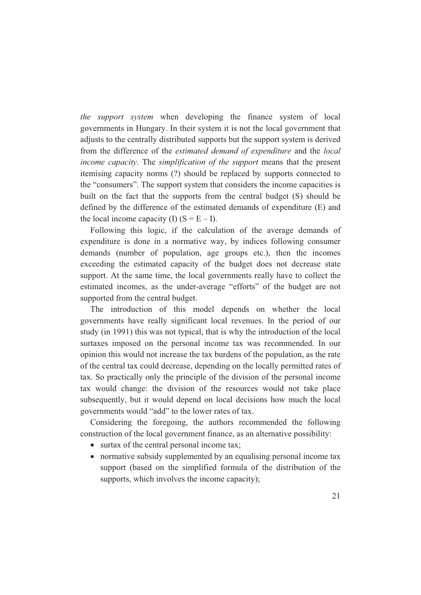*the support system* when developing the finance system of local governments in Hungary. In their system it is not the local government that adjusts to the centrally distributed supports but the support system is derived from the difference of the *estimated demand of expenditure* and the *local income capacity*. The *simplification of the support* means that the present itemising capacity norms (?) should be replaced by supports connected to the "consumers". The support system that considers the income capacities is built on the fact that the supports from the central budget (S) should be defined by the difference of the estimated demands of expenditure (E) and the local income capacity (I)  $(S = E - I)$ .

Following this logic, if the calculation of the average demands of expenditure is done in a normative way, by indices following consumer demands (number of population, age groups etc.), then the incomes exceeding the estimated capacity of the budget does not decrease state support. At the same time, the local governments really have to collect the estimated incomes, as the under-average "efforts" of the budget are not supported from the central budget.

The introduction of this model depends on whether the local governments have really significant local revenues. In the period of our study (in 1991) this was not typical, that is why the introduction of the local surtaxes imposed on the personal income tax was recommended. In our opinion this would not increase the tax burdens of the population, as the rate of the central tax could decrease, depending on the locally permitted rates of tax. So practically only the principle of the division of the personal income tax would change: the division of the resources would not take place subsequently, but it would depend on local decisions how much the local governments would "add" to the lower rates of tax.

Considering the foregoing, the authors recommended the following construction of the local government finance, as an alternative possibility:

- surtax of the central personal income tax;
- normative subsidy supplemented by an equalising personal income tax support (based on the simplified formula of the distribution of the supports, which involves the income capacity);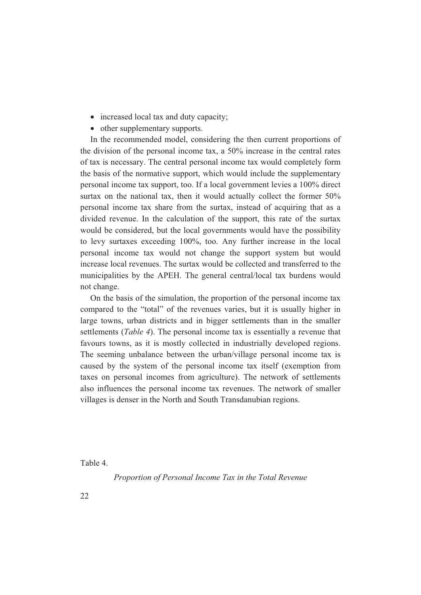- increased local tax and duty capacity;
- other supplementary supports.

In the recommended model, considering the then current proportions of the division of the personal income tax, a 50% increase in the central rates of tax is necessary. The central personal income tax would completely form the basis of the normative support, which would include the supplementary personal income tax support, too. If a local government levies a 100% direct surtax on the national tax, then it would actually collect the former 50% personal income tax share from the surtax, instead of acquiring that as a divided revenue. In the calculation of the support, this rate of the surtax would be considered, but the local governments would have the possibility to levy surtaxes exceeding 100%, too. Any further increase in the local personal income tax would not change the support system but would increase local revenues. The surtax would be collected and transferred to the municipalities by the APEH. The general central/local tax burdens would not change.

On the basis of the simulation, the proportion of the personal income tax compared to the "total" of the revenues varies, but it is usually higher in large towns, urban districts and in bigger settlements than in the smaller settlements (*Table 4*). The personal income tax is essentially a revenue that favours towns, as it is mostly collected in industrially developed regions. The seeming unbalance between the urban/village personal income tax is caused by the system of the personal income tax itself (exemption from taxes on personal incomes from agriculture). The network of settlements also influences the personal income tax revenues. The network of smaller villages is denser in the North and South Transdanubian regions.

Table 4.

*Proportion of Personal Income Tax in the Total Revenue*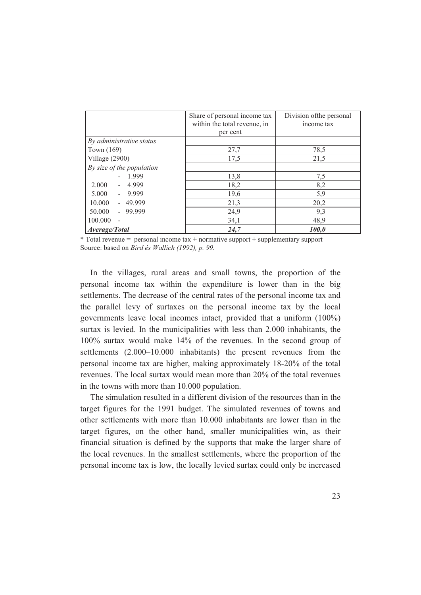|                           | Share of personal income tax<br>within the total revenue, in<br>per cent | Division of the personal<br>income tax |
|---------------------------|--------------------------------------------------------------------------|----------------------------------------|
| By administrative status  |                                                                          |                                        |
| Town $(169)$              | 27,7                                                                     | 78,5                                   |
| Village (2900)            | 17,5                                                                     | 21,5                                   |
| By size of the population |                                                                          |                                        |
| 1.999<br>$\sim$           | 13,8                                                                     | 7,5                                    |
| 2.000<br>$-4.999$         | 18,2                                                                     | 8,2                                    |
| $5.000 - 9.999$           | 19,6                                                                     | 5,9                                    |
| 10.000 - 49.999           | 21,3                                                                     | 20,2                                   |
| $50.000 - 99.999$         | 24,9                                                                     | 9,3                                    |
| 100.000                   | 34,1                                                                     | 48,9                                   |
| Average/Total             | 24,7                                                                     | 100,0                                  |

\* Total revenue = personal income tax + normative support + supplementary support Source: based on *Bird és Wallich (1992), p. 99.*

In the villages, rural areas and small towns, the proportion of the personal income tax within the expenditure is lower than in the big settlements. The decrease of the central rates of the personal income tax and the parallel levy of surtaxes on the personal income tax by the local governments leave local incomes intact, provided that a uniform (100%) surtax is levied. In the municipalities with less than 2.000 inhabitants, the 100% surtax would make 14% of the revenues. In the second group of settlements (2.000–10.000 inhabitants) the present revenues from the personal income tax are higher, making approximately 18-20% of the total revenues. The local surtax would mean more than 20% of the total revenues in the towns with more than 10.000 population.

The simulation resulted in a different division of the resources than in the target figures for the 1991 budget. The simulated revenues of towns and other settlements with more than 10.000 inhabitants are lower than in the target figures, on the other hand, smaller municipalities win, as their financial situation is defined by the supports that make the larger share of the local revenues. In the smallest settlements, where the proportion of the personal income tax is low, the locally levied surtax could only be increased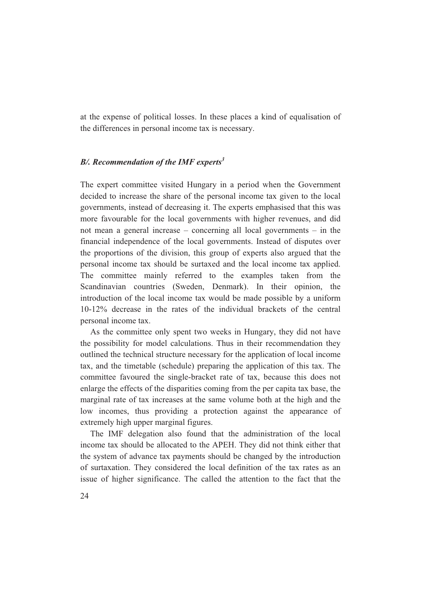at the expense of political losses. In these places a kind of equalisation of the differences in personal income tax is necessary.

### *B/. Recommendation of the IMF experts<sup>3</sup>*

The expert committee visited Hungary in a period when the Government decided to increase the share of the personal income tax given to the local governments, instead of decreasing it. The experts emphasised that this was more favourable for the local governments with higher revenues, and did not mean a general increase – concerning all local governments – in the financial independence of the local governments. Instead of disputes over the proportions of the division, this group of experts also argued that the personal income tax should be surtaxed and the local income tax applied. The committee mainly referred to the examples taken from the Scandinavian countries (Sweden, Denmark). In their opinion, the introduction of the local income tax would be made possible by a uniform 10-12% decrease in the rates of the individual brackets of the central personal income tax.

As the committee only spent two weeks in Hungary, they did not have the possibility for model calculations. Thus in their recommendation they outlined the technical structure necessary for the application of local income tax, and the timetable (schedule) preparing the application of this tax. The committee favoured the single-bracket rate of tax, because this does not enlarge the effects of the disparities coming from the per capita tax base, the marginal rate of tax increases at the same volume both at the high and the low incomes, thus providing a protection against the appearance of extremely high upper marginal figures.

The IMF delegation also found that the administration of the local income tax should be allocated to the APEH. They did not think either that the system of advance tax payments should be changed by the introduction of surtaxation. They considered the local definition of the tax rates as an issue of higher significance. The called the attention to the fact that the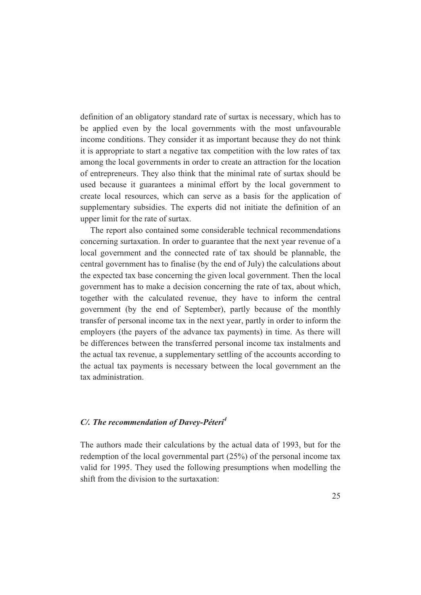definition of an obligatory standard rate of surtax is necessary, which has to be applied even by the local governments with the most unfavourable income conditions. They consider it as important because they do not think it is appropriate to start a negative tax competition with the low rates of tax among the local governments in order to create an attraction for the location of entrepreneurs. They also think that the minimal rate of surtax should be used because it guarantees a minimal effort by the local government to create local resources, which can serve as a basis for the application of supplementary subsidies. The experts did not initiate the definition of an upper limit for the rate of surtax.

The report also contained some considerable technical recommendations concerning surtaxation. In order to guarantee that the next year revenue of a local government and the connected rate of tax should be plannable, the central government has to finalise (by the end of July) the calculations about the expected tax base concerning the given local government. Then the local government has to make a decision concerning the rate of tax, about which, together with the calculated revenue, they have to inform the central government (by the end of September), partly because of the monthly transfer of personal income tax in the next year, partly in order to inform the employers (the payers of the advance tax payments) in time. As there will be differences between the transferred personal income tax instalments and the actual tax revenue, a supplementary settling of the accounts according to the actual tax payments is necessary between the local government an the tax administration.

## *C/. The recommendation of Davey-Péteri<sup>4</sup>*

The authors made their calculations by the actual data of 1993, but for the redemption of the local governmental part (25%) of the personal income tax valid for 1995. They used the following presumptions when modelling the shift from the division to the surtaxation: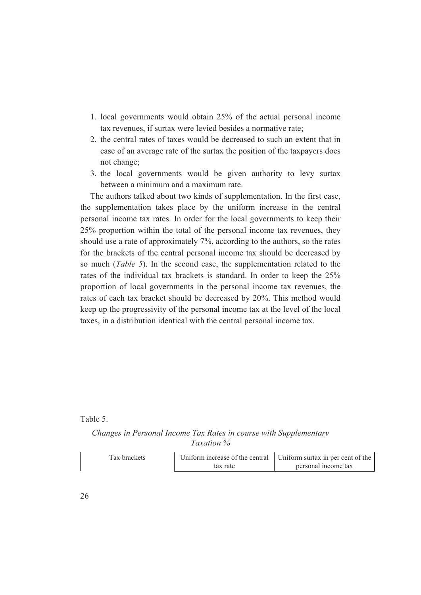- 1. local governments would obtain 25% of the actual personal income tax revenues, if surtax were levied besides a normative rate;
- 2. the central rates of taxes would be decreased to such an extent that in case of an average rate of the surtax the position of the taxpayers does not change;
- 3. the local governments would be given authority to levy surtax between a minimum and a maximum rate.

The authors talked about two kinds of supplementation. In the first case, the supplementation takes place by the uniform increase in the central personal income tax rates. In order for the local governments to keep their 25% proportion within the total of the personal income tax revenues, they should use a rate of approximately 7%, according to the authors, so the rates for the brackets of the central personal income tax should be decreased by so much (*Table 5*). In the second case, the supplementation related to the rates of the individual tax brackets is standard. In order to keep the 25% proportion of local governments in the personal income tax revenues, the rates of each tax bracket should be decreased by 20%. This method would keep up the progressivity of the personal income tax at the level of the local taxes, in a distribution identical with the central personal income tax.

Table 5.

*Changes in Personal Income Tax Rates in course with Supplementary Taxation %* 

| Tax brackets |          | Uniform increase of the central Uniform surtax in per cent of the |
|--------------|----------|-------------------------------------------------------------------|
|              | tax rate | personal income tax                                               |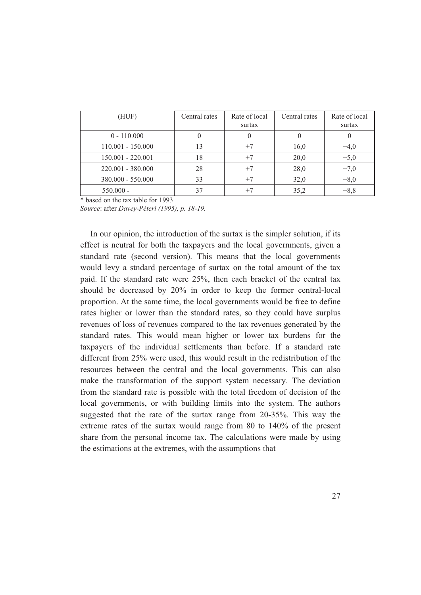| (HUF)               | Central rates | Rate of local<br>surtax | Central rates | Rate of local<br>surtax |
|---------------------|---------------|-------------------------|---------------|-------------------------|
| $0 - 110,000$       |               |                         |               |                         |
| $110.001 - 150.000$ | 13            | $+7$                    | 16,0          | $+4,0$                  |
| $150.001 - 220.001$ | 18            | $+7$                    | 20,0          | $+5,0$                  |
| $220.001 - 380.000$ | 28            | $+7$                    | 28,0          | $+7,0$                  |
| $380.000 - 550.000$ | 33            | $+7$                    | 32,0          | $+8,0$                  |
| $550.000 -$         | 37            | $+7$                    | 35,2          | $+8,8$                  |

\* based on the tax table for 1993

*Source*: after *Davey-Péteri (1995), p. 18-19.*

In our opinion, the introduction of the surtax is the simpler solution, if its effect is neutral for both the taxpayers and the local governments, given a standard rate (second version). This means that the local governments would levy a stndard percentage of surtax on the total amount of the tax paid. If the standard rate were 25%, then each bracket of the central tax should be decreased by 20% in order to keep the former central-local proportion. At the same time, the local governments would be free to define rates higher or lower than the standard rates, so they could have surplus revenues of loss of revenues compared to the tax revenues generated by the standard rates. This would mean higher or lower tax burdens for the taxpayers of the individual settlements than before. If a standard rate different from 25% were used, this would result in the redistribution of the resources between the central and the local governments. This can also make the transformation of the support system necessary. The deviation from the standard rate is possible with the total freedom of decision of the local governments, or with building limits into the system. The authors suggested that the rate of the surtax range from 20-35%. This way the extreme rates of the surtax would range from 80 to 140% of the present share from the personal income tax. The calculations were made by using the estimations at the extremes, with the assumptions that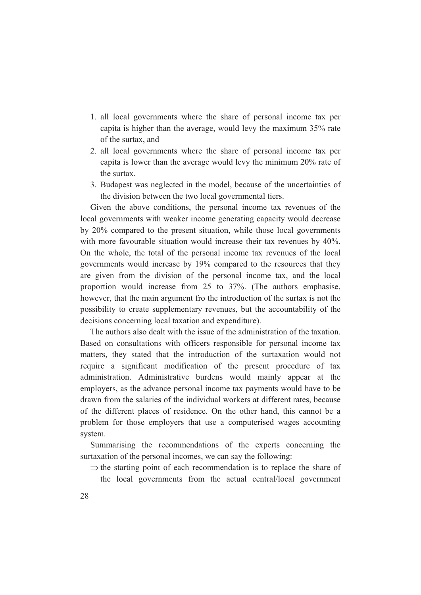- 1. all local governments where the share of personal income tax per capita is higher than the average, would levy the maximum 35% rate of the surtax, and
- 2. all local governments where the share of personal income tax per capita is lower than the average would levy the minimum 20% rate of the surtax.
- 3. Budapest was neglected in the model, because of the uncertainties of the division between the two local governmental tiers.

Given the above conditions, the personal income tax revenues of the local governments with weaker income generating capacity would decrease by 20% compared to the present situation, while those local governments with more favourable situation would increase their tax revenues by 40%. On the whole, the total of the personal income tax revenues of the local governments would increase by 19% compared to the resources that they are given from the division of the personal income tax, and the local proportion would increase from 25 to 37%. (The authors emphasise, however, that the main argument fro the introduction of the surtax is not the possibility to create supplementary revenues, but the accountability of the decisions concerning local taxation and expenditure).

The authors also dealt with the issue of the administration of the taxation. Based on consultations with officers responsible for personal income tax matters, they stated that the introduction of the surtaxation would not require a significant modification of the present procedure of tax administration. Administrative burdens would mainly appear at the employers, as the advance personal income tax payments would have to be drawn from the salaries of the individual workers at different rates, because of the different places of residence. On the other hand, this cannot be a problem for those employers that use a computerised wages accounting system.

Summarising the recommendations of the experts concerning the surtaxation of the personal incomes, we can say the following:

 $\Rightarrow$  the starting point of each recommendation is to replace the share of the local governments from the actual central/local government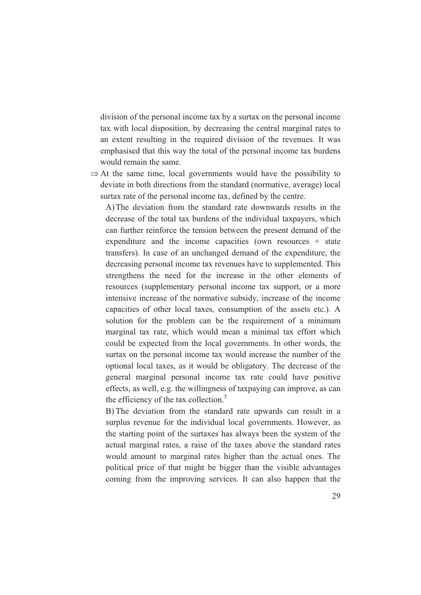division of the personal income tax by a surtax on the personal income tax with local disposition, by decreasing the central marginal rates to an extent resulting in the required division of the revenues. It was emphasised that this way the total of the personal income tax burdens would remain the same.

 $\Rightarrow$  At the same time, local governments would have the possibility to deviate in both directions from the standard (normative, average) local surtax rate of the personal income tax, defined by the centre.

A) The deviation from the standard rate downwards results in the decrease of the total tax burdens of the individual taxpayers, which can further reinforce the tension between the present demand of the expenditure and the income capacities (own resources + state transfers). In case of an unchanged demand of the expenditure, the decreasing personal income tax revenues have to supplemented. This strengthens the need for the increase in the other elements of resources (supplementary personal income tax support, or a more intensive increase of the normative subsidy, increase of the income capacities of other local taxes, consumption of the assets etc.). A solution for the problem can be the requirement of a minimum marginal tax rate, which would mean a minimal tax effort which could be expected from the local governments. In other words, the surtax on the personal income tax would increase the number of the optional local taxes, as it would be obligatory. The decrease of the general marginal personal income tax rate could have positive effects, as well, e.g. the willingness of taxpaying can improve, as can the efficiency of the tax collection.<sup>5</sup>

B) The deviation from the standard rate upwards can result in a surplus revenue for the individual local governments. However, as the starting point of the surtaxes has always been the system of the actual marginal rates, a raise of the taxes above the standard rates would amount to marginal rates higher than the actual ones. The political price of that might be bigger than the visible advantages coming from the improving services. It can also happen that the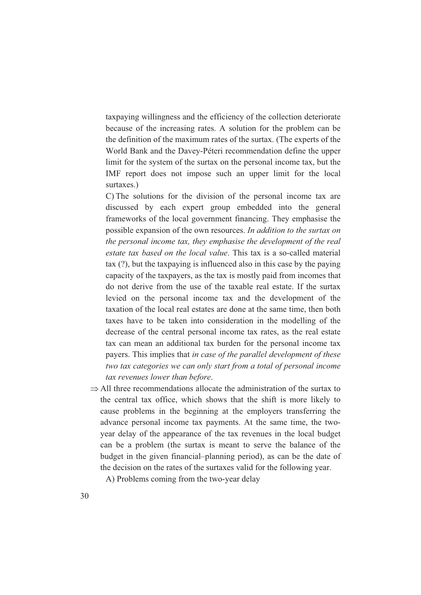taxpaying willingness and the efficiency of the collection deteriorate because of the increasing rates. A solution for the problem can be the definition of the maximum rates of the surtax. (The experts of the World Bank and the Davey-Péteri recommendation define the upper limit for the system of the surtax on the personal income tax, but the IMF report does not impose such an upper limit for the local surtaxes.)

C) The solutions for the division of the personal income tax are discussed by each expert group embedded into the general frameworks of the local government financing. They emphasise the possible expansion of the own resources. *In addition to the surtax on the personal income tax, they emphasise the development of the real estate tax based on the local value*. This tax is a so-called material tax (?), but the taxpaying is influenced also in this case by the paying capacity of the taxpayers, as the tax is mostly paid from incomes that do not derive from the use of the taxable real estate. If the surtax levied on the personal income tax and the development of the taxation of the local real estates are done at the same time, then both taxes have to be taken into consideration in the modelling of the decrease of the central personal income tax rates, as the real estate tax can mean an additional tax burden for the personal income tax payers. This implies that *in case of the parallel development of these two tax categories we can only start from a total of personal income tax revenues lower than before*.

 $\Rightarrow$  All three recommendations allocate the administration of the surtax to the central tax office, which shows that the shift is more likely to cause problems in the beginning at the employers transferring the advance personal income tax payments. At the same time, the twoyear delay of the appearance of the tax revenues in the local budget can be a problem (the surtax is meant to serve the balance of the budget in the given financial–planning period), as can be the date of the decision on the rates of the surtaxes valid for the following year.

A) Problems coming from the two-year delay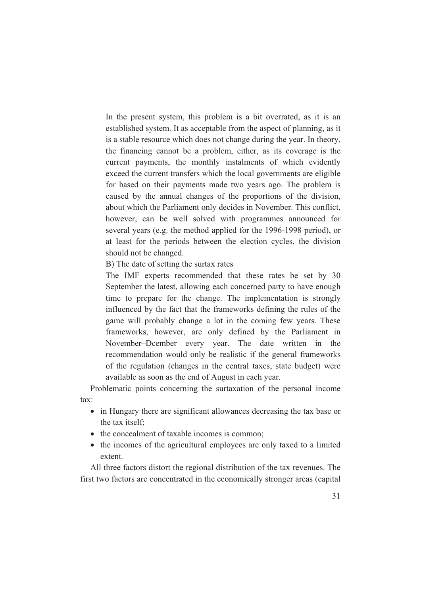In the present system, this problem is a bit overrated, as it is an established system. It as acceptable from the aspect of planning, as it is a stable resource which does not change during the year. In theory, the financing cannot be a problem, either, as its coverage is the current payments, the monthly instalments of which evidently exceed the current transfers which the local governments are eligible for based on their payments made two years ago. The problem is caused by the annual changes of the proportions of the division, about which the Parliament only decides in November. This conflict, however, can be well solved with programmes announced for several years (e.g. the method applied for the 1996-1998 period), or at least for the periods between the election cycles, the division should not be changed.

B) The date of setting the surtax rates

The IMF experts recommended that these rates be set by 30 September the latest, allowing each concerned party to have enough time to prepare for the change. The implementation is strongly influenced by the fact that the frameworks defining the rules of the game will probably change a lot in the coming few years. These frameworks, however, are only defined by the Parliament in November–Dcember every year. The date written in the recommendation would only be realistic if the general frameworks of the regulation (changes in the central taxes, state budget) were available as soon as the end of August in each year.

Problematic points concerning the surtaxation of the personal income tax:

- in Hungary there are significant allowances decreasing the tax base or the tax itself;
- the concealment of taxable incomes is common;
- the incomes of the agricultural employees are only taxed to a limited extent.

All three factors distort the regional distribution of the tax revenues. The first two factors are concentrated in the economically stronger areas (capital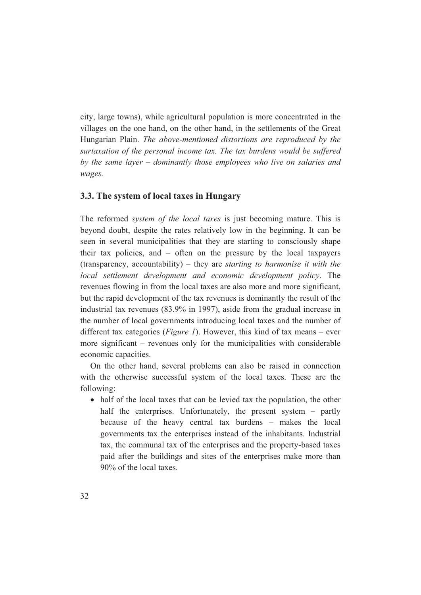city, large towns), while agricultural population is more concentrated in the villages on the one hand, on the other hand, in the settlements of the Great Hungarian Plain. *The above-mentioned distortions are reproduced by the surtaxation of the personal income tax. The tax burdens would be suffered by the same layer – dominantly those employees who live on salaries and wages.*

### **3.3. The system of local taxes in Hungary**

The reformed *system of the local taxes* is just becoming mature. This is beyond doubt, despite the rates relatively low in the beginning. It can be seen in several municipalities that they are starting to consciously shape their tax policies, and – often on the pressure by the local taxpayers (transparency, accountability) – they are *starting to harmonise it with the local settlement development and economic development policy*. The revenues flowing in from the local taxes are also more and more significant, but the rapid development of the tax revenues is dominantly the result of the industrial tax revenues (83.9% in 1997), aside from the gradual increase in the number of local governments introducing local taxes and the number of different tax categories (*Figure 1*). However, this kind of tax means – ever more significant – revenues only for the municipalities with considerable economic capacities.

On the other hand, several problems can also be raised in connection with the otherwise successful system of the local taxes. These are the following:

• half of the local taxes that can be levied tax the population, the other half the enterprises. Unfortunately, the present system – partly because of the heavy central tax burdens – makes the local governments tax the enterprises instead of the inhabitants. Industrial tax, the communal tax of the enterprises and the property-based taxes paid after the buildings and sites of the enterprises make more than 90% of the local taxes.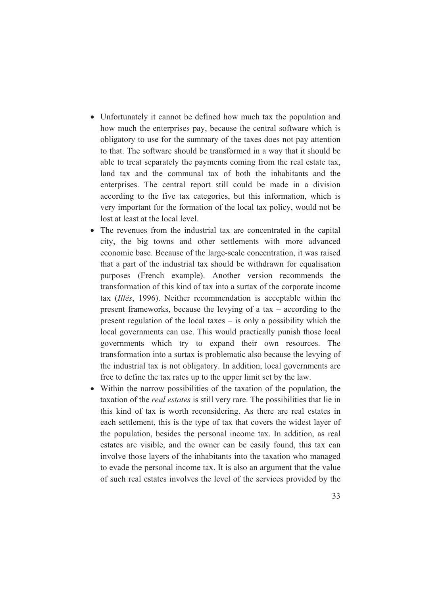- Unfortunately it cannot be defined how much tax the population and how much the enterprises pay, because the central software which is obligatory to use for the summary of the taxes does not pay attention to that. The software should be transformed in a way that it should be able to treat separately the payments coming from the real estate tax, land tax and the communal tax of both the inhabitants and the enterprises. The central report still could be made in a division according to the five tax categories, but this information, which is very important for the formation of the local tax policy, would not be lost at least at the local level.
- The revenues from the industrial tax are concentrated in the capital city, the big towns and other settlements with more advanced economic base. Because of the large-scale concentration, it was raised that a part of the industrial tax should be withdrawn for equalisation purposes (French example). Another version recommends the transformation of this kind of tax into a surtax of the corporate income tax (*Illés*, 1996). Neither recommendation is acceptable within the present frameworks, because the levying of a tax – according to the present regulation of the local taxes – is only a possibility which the local governments can use. This would practically punish those local governments which try to expand their own resources. The transformation into a surtax is problematic also because the levying of the industrial tax is not obligatory. In addition, local governments are free to define the tax rates up to the upper limit set by the law.
- Within the narrow possibilities of the taxation of the population, the taxation of the *real estates* is still very rare. The possibilities that lie in this kind of tax is worth reconsidering. As there are real estates in each settlement, this is the type of tax that covers the widest layer of the population, besides the personal income tax. In addition, as real estates are visible, and the owner can be easily found, this tax can involve those layers of the inhabitants into the taxation who managed to evade the personal income tax. It is also an argument that the value of such real estates involves the level of the services provided by the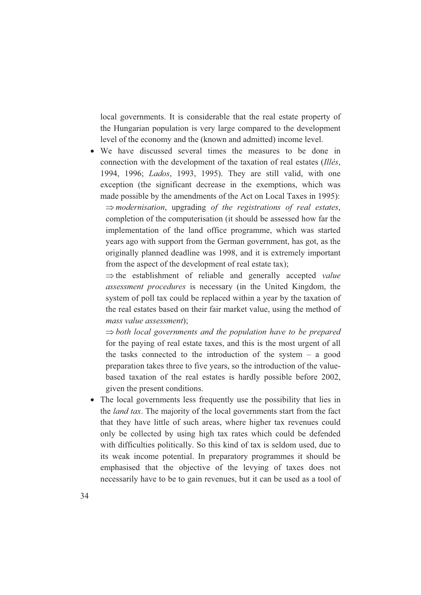local governments. It is considerable that the real estate property of the Hungarian population is very large compared to the development level of the economy and the (known and admitted) income level.

• We have discussed several times the measures to be done in connection with the development of the taxation of real estates (*Illés*, 1994, 1996; *Lados*, 1993, 1995). They are still valid, with one exception (the significant decrease in the exemptions, which was made possible by the amendments of the Act on Local Taxes in 1995):  $\Rightarrow$  *modernisation*, upgrading *of the registrations of real estates*, completion of the computerisation (it should be assessed how far the implementation of the land office programme, which was started years ago with support from the German government, has got, as the originally planned deadline was 1998, and it is extremely important from the aspect of the development of real estate tax);

 $\Rightarrow$  the establishment of reliable and generally accepted *value assessment procedures* is necessary (in the United Kingdom, the system of poll tax could be replaced within a year by the taxation of the real estates based on their fair market value, using the method of *mass value assessment*);

 $\Rightarrow$  both local governments and the population have to be prepared for the paying of real estate taxes, and this is the most urgent of all the tasks connected to the introduction of the system  $-$  a good preparation takes three to five years, so the introduction of the valuebased taxation of the real estates is hardly possible before 2002, given the present conditions.

• The local governments less frequently use the possibility that lies in the *land tax*. The majority of the local governments start from the fact that they have little of such areas, where higher tax revenues could only be collected by using high tax rates which could be defended with difficulties politically. So this kind of tax is seldom used, due to its weak income potential. In preparatory programmes it should be emphasised that the objective of the levying of taxes does not necessarily have to be to gain revenues, but it can be used as a tool of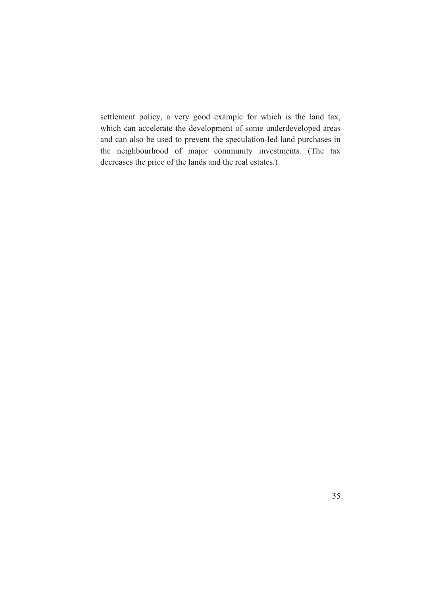settlement policy, a very good example for which is the land tax, which can accelerate the development of some underdeveloped areas and can also be used to prevent the speculation-led land purchases in the neighbourhood of major community investments. (The tax decreases the price of the lands and the real estates.)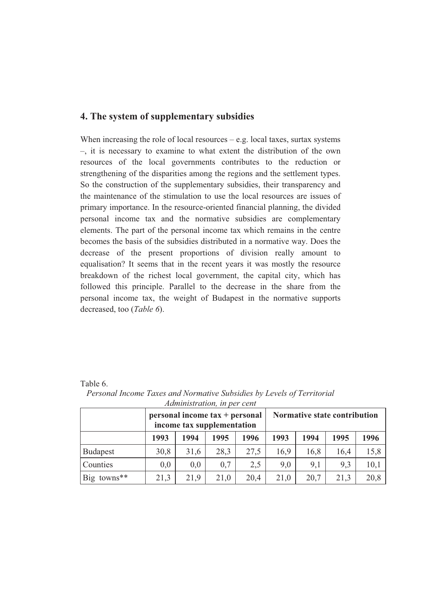## **4. The system of supplementary subsidies**

When increasing the role of local resources  $-$  e.g. local taxes, surtax systems –, it is necessary to examine to what extent the distribution of the own resources of the local governments contributes to the reduction or strengthening of the disparities among the regions and the settlement types. So the construction of the supplementary subsidies, their transparency and the maintenance of the stimulation to use the local resources are issues of primary importance. In the resource-oriented financial planning, the divided personal income tax and the normative subsidies are complementary elements. The part of the personal income tax which remains in the centre becomes the basis of the subsidies distributed in a normative way. Does the decrease of the present proportions of division really amount to equalisation? It seems that in the recent years it was mostly the resource breakdown of the richest local government, the capital city, which has followed this principle. Parallel to the decrease in the share from the personal income tax, the weight of Budapest in the normative supports decreased, too (*Table 6*).

#### Table 6.

|                         | $personal income tax + personal$<br>income tax supplementation |      |      |      |      | Normative state contribution |      |      |
|-------------------------|----------------------------------------------------------------|------|------|------|------|------------------------------|------|------|
|                         | 1993                                                           | 1994 | 1995 | 1996 | 1993 | 1994                         | 1995 | 1996 |
| <b>Budapest</b>         | 30,8                                                           | 31,6 | 28,3 | 27,5 | 16,9 | 16,8                         | 16,4 | 15,8 |
| Counties                | 0,0                                                            | 0,0  | 0,7  | 2,5  | 9,0  | 9,1                          | 9,3  | 10,1 |
| Big towns <sup>**</sup> | 21,3                                                           | 21,9 | 21,0 | 20,4 | 21,0 | 20,7                         | 21,3 | 20,8 |

*Personal Income Taxes and Normative Subsidies by Levels of Territorial Administration, in per cent*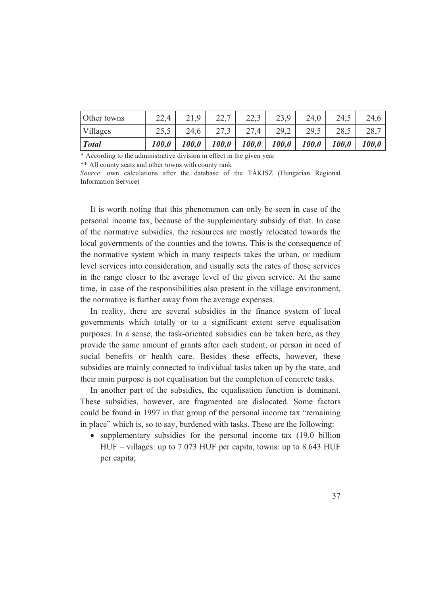| Other towns     | 22,4  | 21,9  | 227<br>44. | 22,3  | 23,9  | 24,0         | 24,5         | 24,6  |
|-----------------|-------|-------|------------|-------|-------|--------------|--------------|-------|
| <b>Villages</b> | 25,5  | 24,6  | 27,3       | 27,4  | 29,2  | 29,5         | 28,5         | 28,7  |
| <i>Total</i>    | 100,0 | 100,0 | 100,0      | 100,0 | 100,0 | <i>100,0</i> | <i>100,0</i> | 100,0 |

\* According to the administrative division in effect in the given year

\*\* All county seats and other towns with county rank

*Source*: own calculations after the database of the TÁKISZ (Hungarian Regional Information Service)

It is worth noting that this phenomenon can only be seen in case of the personal income tax, because of the supplementary subsidy of that. In case of the normative subsidies, the resources are mostly relocated towards the local governments of the counties and the towns. This is the consequence of the normative system which in many respects takes the urban, or medium level services into consideration, and usually sets the rates of those services in the range closer to the average level of the given service. At the same time, in case of the responsibilities also present in the village environment, the normative is further away from the average expenses.

In reality, there are several subsidies in the finance system of local governments which totally or to a significant extent serve equalisation purposes. In a sense, the task-oriented subsidies can be taken here, as they provide the same amount of grants after each student, or person in need of social benefits or health care. Besides these effects, however, these subsidies are mainly connected to individual tasks taken up by the state, and their main purpose is not equalisation but the completion of concrete tasks.

In another part of the subsidies, the equalisation function is dominant. These subsidies, however, are fragmented are dislocated. Some factors could be found in 1997 in that group of the personal income tax "remaining in place" which is, so to say, burdened with tasks. These are the following:

• supplementary subsidies for the personal income tax (19.0 billion HUF – villages: up to 7.073 HUF per capita, towns: up to 8.643 HUF per capita;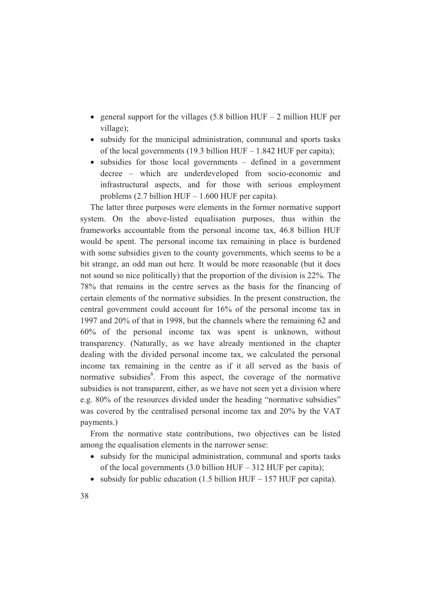- general support for the villages (5.8 billion HUF 2 million HUF per village);
- subsidy for the municipal administration, communal and sports tasks of the local governments (19.3 billion HUF – 1.842 HUF per capita);
- subsidies for those local governments defined in a government decree – which are underdeveloped from socio-economic and infrastructural aspects, and for those with serious employment problems (2.7 billion HUF – 1.600 HUF per capita).

The latter three purposes were elements in the former normative support system. On the above-listed equalisation purposes, thus within the frameworks accountable from the personal income tax, 46.8 billion HUF would be spent. The personal income tax remaining in place is burdened with some subsidies given to the county governments, which seems to be a bit strange, an odd man out here. It would be more reasonable (but it does not sound so nice politically) that the proportion of the division is 22%. The 78% that remains in the centre serves as the basis for the financing of certain elements of the normative subsidies. In the present construction, the central government could account for 16% of the personal income tax in 1997 and 20% of that in 1998, but the channels where the remaining 62 and 60% of the personal income tax was spent is unknown, without transparency. (Naturally, as we have already mentioned in the chapter dealing with the divided personal income tax, we calculated the personal income tax remaining in the centre as if it all served as the basis of normative subsidies<sup>6</sup>. From this aspect, the coverage of the normative subsidies is not transparent, either, as we have not seen yet a division where e.g. 80% of the resources divided under the heading "normative subsidies" was covered by the centralised personal income tax and 20% by the VAT payments.)

From the normative state contributions, two objectives can be listed among the equalisation elements in the narrower sense:

- subsidy for the municipal administration, communal and sports tasks of the local governments (3.0 billion HUF – 312 HUF per capita);
- subsidy for public education  $(1.5 \text{ billion HUF} 157 \text{ HUF})$  per capita).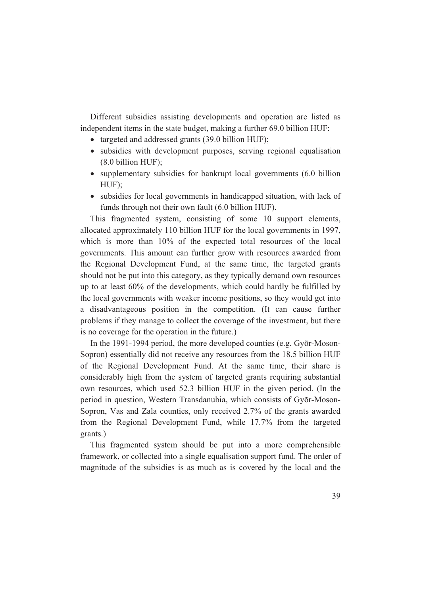Different subsidies assisting developments and operation are listed as independent items in the state budget, making a further 69.0 billion HUF:

- targeted and addressed grants (39.0 billion HUF);
- subsidies with development purposes, serving regional equalisation (8.0 billion HUF);
- supplementary subsidies for bankrupt local governments (6.0 billion HUF);
- subsidies for local governments in handicapped situation, with lack of funds through not their own fault (6.0 billion HUF).

This fragmented system, consisting of some 10 support elements, allocated approximately 110 billion HUF for the local governments in 1997, which is more than 10% of the expected total resources of the local governments. This amount can further grow with resources awarded from the Regional Development Fund, at the same time, the targeted grants should not be put into this category, as they typically demand own resources up to at least 60% of the developments, which could hardly be fulfilled by the local governments with weaker income positions, so they would get into a disadvantageous position in the competition. (It can cause further problems if they manage to collect the coverage of the investment, but there is no coverage for the operation in the future.)

In the 1991-1994 period, the more developed counties (e.g. Gyõr-Moson-Sopron) essentially did not receive any resources from the 18.5 billion HUF of the Regional Development Fund. At the same time, their share is considerably high from the system of targeted grants requiring substantial own resources, which used 52.3 billion HUF in the given period. (In the period in question, Western Transdanubia, which consists of Gyõr-Moson-Sopron, Vas and Zala counties, only received 2.7% of the grants awarded from the Regional Development Fund, while 17.7% from the targeted grants.)

This fragmented system should be put into a more comprehensible framework, or collected into a single equalisation support fund. The order of magnitude of the subsidies is as much as is covered by the local and the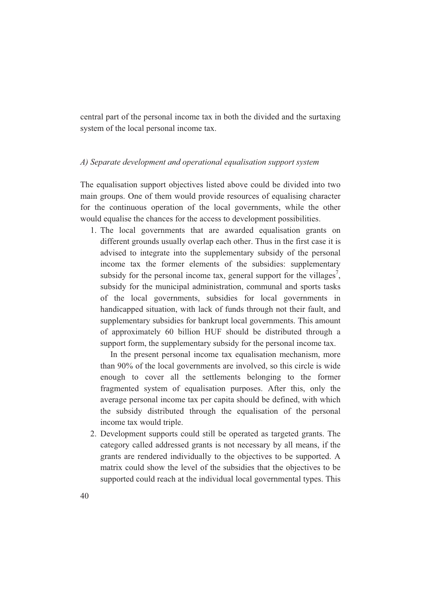central part of the personal income tax in both the divided and the surtaxing system of the local personal income tax.

### *A) Separate development and operational equalisation support system*

The equalisation support objectives listed above could be divided into two main groups. One of them would provide resources of equalising character for the continuous operation of the local governments, while the other would equalise the chances for the access to development possibilities.

1. The local governments that are awarded equalisation grants on different grounds usually overlap each other. Thus in the first case it is advised to integrate into the supplementary subsidy of the personal income tax the former elements of the subsidies: supplementary subsidy for the personal income tax, general support for the villages<sup>7</sup>, subsidy for the municipal administration, communal and sports tasks of the local governments, subsidies for local governments in handicapped situation, with lack of funds through not their fault, and supplementary subsidies for bankrupt local governments. This amount of approximately 60 billion HUF should be distributed through a support form, the supplementary subsidy for the personal income tax.

In the present personal income tax equalisation mechanism, more than 90% of the local governments are involved, so this circle is wide enough to cover all the settlements belonging to the former fragmented system of equalisation purposes. After this, only the average personal income tax per capita should be defined, with which the subsidy distributed through the equalisation of the personal income tax would triple.

2. Development supports could still be operated as targeted grants. The category called addressed grants is not necessary by all means, if the grants are rendered individually to the objectives to be supported. A matrix could show the level of the subsidies that the objectives to be supported could reach at the individual local governmental types. This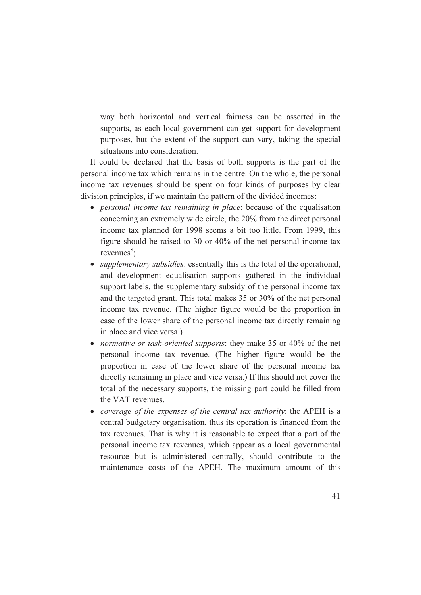way both horizontal and vertical fairness can be asserted in the supports, as each local government can get support for development purposes, but the extent of the support can vary, taking the special situations into consideration.

It could be declared that the basis of both supports is the part of the personal income tax which remains in the centre. On the whole, the personal income tax revenues should be spent on four kinds of purposes by clear division principles, if we maintain the pattern of the divided incomes:

- *personal income tax remaining in place*: because of the equalisation concerning an extremely wide circle, the 20% from the direct personal income tax planned for 1998 seems a bit too little. From 1999, this figure should be raised to 30 or 40% of the net personal income tax  $revenues<sup>8</sup>$ ;
- *supplementary subsidies*: essentially this is the total of the operational, and development equalisation supports gathered in the individual support labels, the supplementary subsidy of the personal income tax and the targeted grant. This total makes 35 or 30% of the net personal income tax revenue. (The higher figure would be the proportion in case of the lower share of the personal income tax directly remaining in place and vice versa.)
- *normative or task-oriented supports*: they make 35 or 40% of the net personal income tax revenue. (The higher figure would be the proportion in case of the lower share of the personal income tax directly remaining in place and vice versa.) If this should not cover the total of the necessary supports, the missing part could be filled from the VAT revenues.
- *coverage of the expenses of the central tax authority*: the APEH is a central budgetary organisation, thus its operation is financed from the tax revenues. That is why it is reasonable to expect that a part of the personal income tax revenues, which appear as a local governmental resource but is administered centrally, should contribute to the maintenance costs of the APEH. The maximum amount of this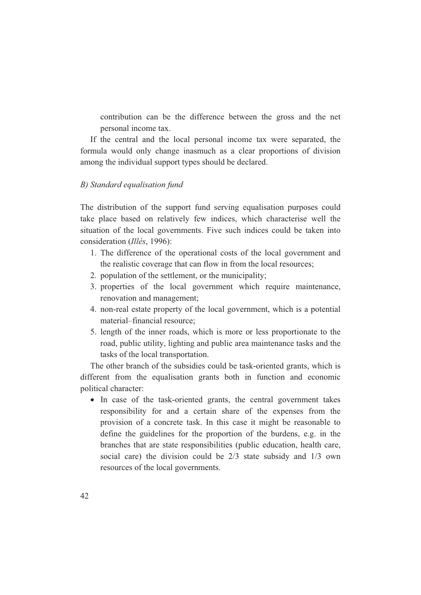contribution can be the difference between the gross and the net personal income tax.

If the central and the local personal income tax were separated, the formula would only change inasmuch as a clear proportions of division among the individual support types should be declared.

### *B) Standard equalisation fund*

The distribution of the support fund serving equalisation purposes could take place based on relatively few indices, which characterise well the situation of the local governments. Five such indices could be taken into consideration (*Illés*, 1996):

- 1. The difference of the operational costs of the local government and the realistic coverage that can flow in from the local resources;
- 2. population of the settlement, or the municipality;
- 3. properties of the local government which require maintenance, renovation and management;
- 4. non-real estate property of the local government, which is a potential material–financial resource;
- 5. length of the inner roads, which is more or less proportionate to the road, public utility, lighting and public area maintenance tasks and the tasks of the local transportation.

The other branch of the subsidies could be task-oriented grants, which is different from the equalisation grants both in function and economic political character:

• In case of the task-oriented grants, the central government takes responsibility for and a certain share of the expenses from the provision of a concrete task. In this case it might be reasonable to define the guidelines for the proportion of the burdens, e.g. in the branches that are state responsibilities (public education, health care, social care) the division could be 2/3 state subsidy and 1/3 own resources of the local governments.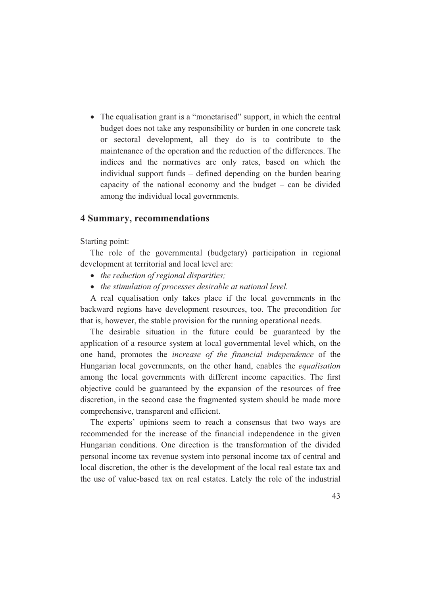• The equalisation grant is a "monetarised" support, in which the central budget does not take any responsibility or burden in one concrete task or sectoral development, all they do is to contribute to the maintenance of the operation and the reduction of the differences. The indices and the normatives are only rates, based on which the individual support funds – defined depending on the burden bearing capacity of the national economy and the budget – can be divided among the individual local governments.

### **4 Summary, recommendations**

Starting point:

The role of the governmental (budgetary) participation in regional development at territorial and local level are:

- *the reduction of regional disparities;*
- *the stimulation of processes desirable at national level.*

A real equalisation only takes place if the local governments in the backward regions have development resources, too. The precondition for that is, however, the stable provision for the running operational needs.

The desirable situation in the future could be guaranteed by the application of a resource system at local governmental level which, on the one hand, promotes the *increase of the financial independence* of the Hungarian local governments, on the other hand, enables the *equalisation* among the local governments with different income capacities. The first objective could be guaranteed by the expansion of the resources of free discretion, in the second case the fragmented system should be made more comprehensive, transparent and efficient.

The experts' opinions seem to reach a consensus that two ways are recommended for the increase of the financial independence in the given Hungarian conditions. One direction is the transformation of the divided personal income tax revenue system into personal income tax of central and local discretion, the other is the development of the local real estate tax and the use of value-based tax on real estates. Lately the role of the industrial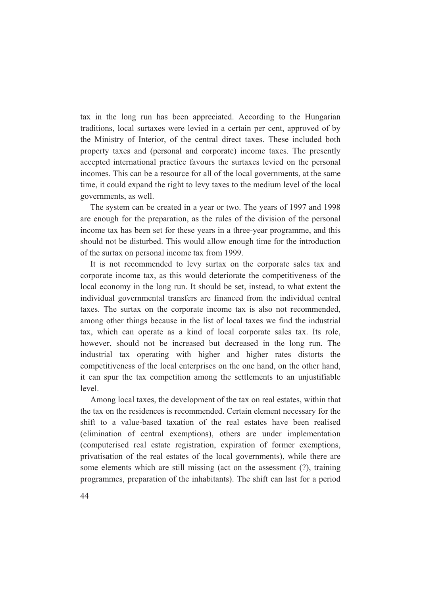tax in the long run has been appreciated. According to the Hungarian traditions, local surtaxes were levied in a certain per cent, approved of by the Ministry of Interior, of the central direct taxes. These included both property taxes and (personal and corporate) income taxes. The presently accepted international practice favours the surtaxes levied on the personal incomes. This can be a resource for all of the local governments, at the same time, it could expand the right to levy taxes to the medium level of the local governments, as well.

The system can be created in a year or two. The years of 1997 and 1998 are enough for the preparation, as the rules of the division of the personal income tax has been set for these years in a three-year programme, and this should not be disturbed. This would allow enough time for the introduction of the surtax on personal income tax from 1999.

It is not recommended to levy surtax on the corporate sales tax and corporate income tax, as this would deteriorate the competitiveness of the local economy in the long run. It should be set, instead, to what extent the individual governmental transfers are financed from the individual central taxes. The surtax on the corporate income tax is also not recommended, among other things because in the list of local taxes we find the industrial tax, which can operate as a kind of local corporate sales tax. Its role, however, should not be increased but decreased in the long run. The industrial tax operating with higher and higher rates distorts the competitiveness of the local enterprises on the one hand, on the other hand, it can spur the tax competition among the settlements to an unjustifiable level.

Among local taxes, the development of the tax on real estates, within that the tax on the residences is recommended. Certain element necessary for the shift to a value-based taxation of the real estates have been realised (elimination of central exemptions), others are under implementation (computerised real estate registration, expiration of former exemptions, privatisation of the real estates of the local governments), while there are some elements which are still missing (act on the assessment (?), training programmes, preparation of the inhabitants). The shift can last for a period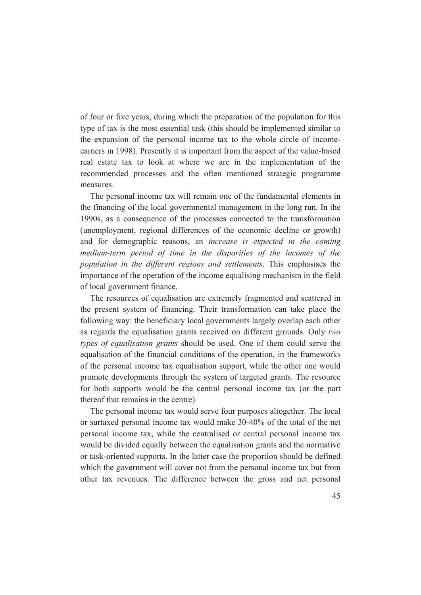of four or five years, during which the preparation of the population for this type of tax is the most essential task (this should be implemented similar to the expansion of the personal income tax to the whole circle of incomeearners in 1998). Presently it is important from the aspect of the value-based real estate tax to look at where we are in the implementation of the recommended processes and the often mentioned strategic programme measures.

The personal income tax will remain one of the fundamental elements in the financing of the local governmental management in the long run. In the 1990s, as a consequence of the processes connected to the transformation (unemployment, regional differences of the economic decline or growth) and for demographic reasons, an *increase is expected in the coming medium-term period of time in the disparities of the incomes of the population in the different regions and settlements*. This emphasises the importance of the operation of the income equalising mechanism in the field of local government finance.

The resources of equalisation are extremely fragmented and scattered in the present system of financing. Their transformation can take place the following way: the beneficiary local governments largely overlap each other as regards the equalisation grants received on different grounds. Only *two types of equalisation grants* should be used. One of them could serve the equalisation of the financial conditions of the operation, in the frameworks of the personal income tax equalisation support, while the other one would promote developments through the system of targeted grants. The resource for both supports would be the central personal income tax (or the part thereof that remains in the centre).

The personal income tax would serve four purposes altogether. The local or surtaxed personal income tax would make 30-40% of the total of the net personal income tax, while the centralised or central personal income tax would be divided equally between the equalisation grants and the normative or task-oriented supports. In the latter case the proportion should be defined which the government will cover not from the personal income tax but from other tax revenues. The difference between the gross and net personal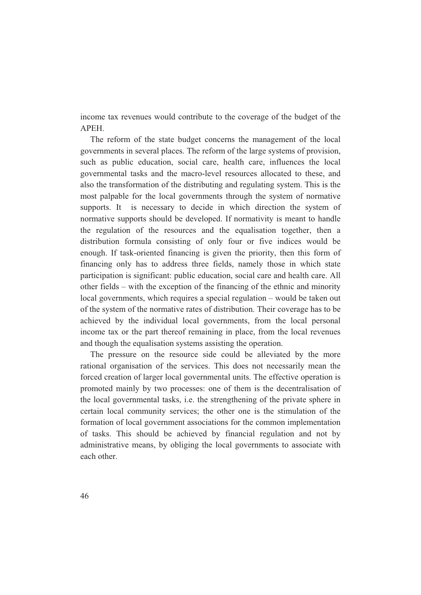income tax revenues would contribute to the coverage of the budget of the APEH.

The reform of the state budget concerns the management of the local governments in several places. The reform of the large systems of provision, such as public education, social care, health care, influences the local governmental tasks and the macro-level resources allocated to these, and also the transformation of the distributing and regulating system. This is the most palpable for the local governments through the system of normative supports. It is necessary to decide in which direction the system of normative supports should be developed. If normativity is meant to handle the regulation of the resources and the equalisation together, then a distribution formula consisting of only four or five indices would be enough. If task-oriented financing is given the priority, then this form of financing only has to address three fields, namely those in which state participation is significant: public education, social care and health care. All other fields – with the exception of the financing of the ethnic and minority local governments, which requires a special regulation – would be taken out of the system of the normative rates of distribution. Their coverage has to be achieved by the individual local governments, from the local personal income tax or the part thereof remaining in place, from the local revenues and though the equalisation systems assisting the operation.

The pressure on the resource side could be alleviated by the more rational organisation of the services. This does not necessarily mean the forced creation of larger local governmental units. The effective operation is promoted mainly by two processes: one of them is the decentralisation of the local governmental tasks, i.e. the strengthening of the private sphere in certain local community services; the other one is the stimulation of the formation of local government associations for the common implementation of tasks. This should be achieved by financial regulation and not by administrative means, by obliging the local governments to associate with each other.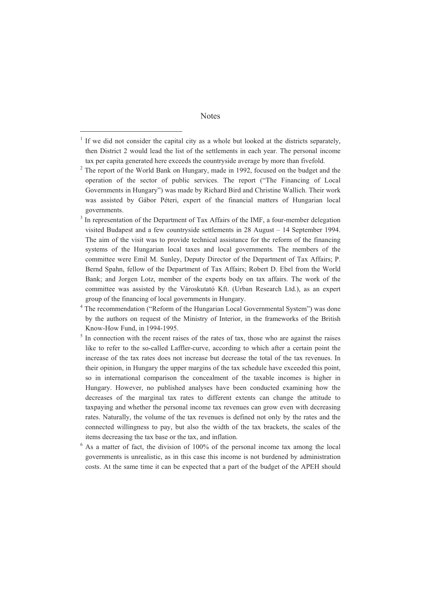#### **Notes**

<sup>1</sup> If we did not consider the capital city as a whole but looked at the districts separately, then District 2 would lead the list of the settlements in each year. The personal income tax per capita generated here exceeds the countryside average by more than fivefold.

 $2$  The report of the World Bank on Hungary, made in 1992, focused on the budget and the operation of the sector of public services. The report ("The Financing of Local Governments in Hungary") was made by Richard Bird and Christine Wallich. Their work was assisted by Gábor Péteri, expert of the financial matters of Hungarian local governments.

<sup>3</sup> In representation of the Department of Tax Affairs of the IMF, a four-member delegation visited Budapest and a few countryside settlements in 28 August – 14 September 1994. The aim of the visit was to provide technical assistance for the reform of the financing systems of the Hungarian local taxes and local governments. The members of the committee were Emil M. Sunley, Deputy Director of the Department of Tax Affairs; P. Bernd Spahn, fellow of the Department of Tax Affairs; Robert D. Ebel from the World Bank; and Jorgen Lotz, member of the experts body on tax affairs. The work of the committee was assisted by the Városkutató Kft. (Urban Research Ltd.), as an expert group of the financing of local governments in Hungary.

<sup>4</sup> The recommendation ("Reform of the Hungarian Local Governmental System") was done by the authors on request of the Ministry of Interior, in the frameworks of the British Know-How Fund, in 1994-1995.

 $<sup>5</sup>$  In connection with the recent raises of the rates of tax, those who are against the raises</sup> like to refer to the so-called Laffler-curve, according to which after a certain point the increase of the tax rates does not increase but decrease the total of the tax revenues. In their opinion, in Hungary the upper margins of the tax schedule have exceeded this point, so in international comparison the concealment of the taxable incomes is higher in Hungary. However, no published analyses have been conducted examining how the decreases of the marginal tax rates to different extents can change the attitude to taxpaying and whether the personal income tax revenues can grow even with decreasing rates. Naturally, the volume of the tax revenues is defined not only by the rates and the connected willingness to pay, but also the width of the tax brackets, the scales of the items decreasing the tax base or the tax, and inflation.

<sup>6</sup> As a matter of fact, the division of 100% of the personal income tax among the local governments is unrealistic, as in this case this income is not burdened by administration costs. At the same time it can be expected that a part of the budget of the APEH should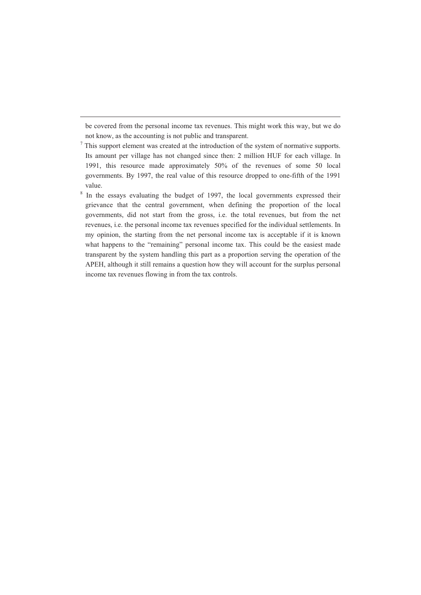be covered from the personal income tax revenues. This might work this way, but we do not know, as the accounting is not public and transparent.

<sup>7</sup> This support element was created at the introduction of the system of normative supports. Its amount per village has not changed since then: 2 million HUF for each village. In 1991, this resource made approximately 50% of the revenues of some 50 local governments. By 1997, the real value of this resource dropped to one-fifth of the 1991 value.

8 In the essays evaluating the budget of 1997, the local governments expressed their grievance that the central government, when defining the proportion of the local governments, did not start from the gross, i.e. the total revenues, but from the net revenues, i.e. the personal income tax revenues specified for the individual settlements. In my opinion, the starting from the net personal income tax is acceptable if it is known what happens to the "remaining" personal income tax. This could be the easiest made transparent by the system handling this part as a proportion serving the operation of the APEH, although it still remains a question how they will account for the surplus personal income tax revenues flowing in from the tax controls.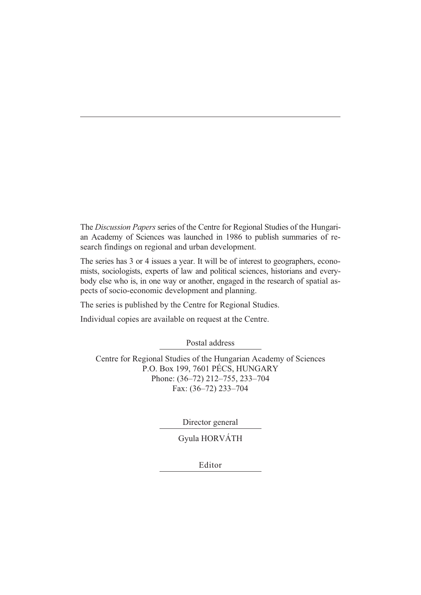The *Discussion Papers* series of the Centre for Regional Studies of the Hungarian Academy of Sciences was launched in 1986 to publish summaries of research findings on regional and urban development.

The series has 3 or 4 issues a year. It will be of interest to geographers, economists, sociologists, experts of law and political sciences, historians and everybody else who is, in one way or another, engaged in the research of spatial aspects of socio-economic development and planning.

The series is published by the Centre for Regional Studies.

Individual copies are available on request at the Centre.

Postal address

Centre for Regional Studies of the Hungarian Academy of Sciences P.O. Box 199, 7601 PÉCS, HUNGARY Phone: (36–72) 212–755, 233–704 Fax: (36–72) 233–704

Director general

Gyula HORVÁTH

Editor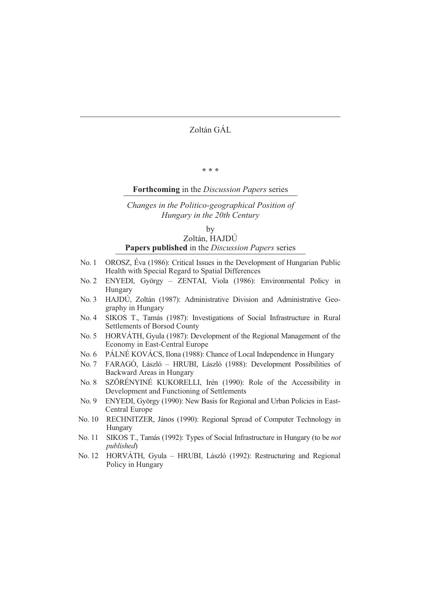Zoltán GÁL

**\* \* \*** 

#### **Forthcoming** in the *Discussion Papers* series

### *Changes in the Politico-geographical Position of Hungary in the 20th Century*

by

### Zoltán, HAJDÚ **Papers published** in the *Discussion Papers* series

- No. 1 OROSZ, Éva (1986): Critical Issues in the Development of Hungarian Public Health with Special Regard to Spatial Differences
- No. 2 ENYEDI, György ZENTAI, Viola (1986): Environmental Policy in Hungary
- No. 3 HAJDÚ, Zoltán (1987): Administrative Division and Administrative Geography in Hungary
- No. 4 SIKOS T., Tamás (1987): Investigations of Social Infrastructure in Rural Settlements of Borsod County
- No. 5 HORVÁTH, Gyula (1987): Development of the Regional Management of the Economy in East-Central Europe
- No. 6 PÁLNÉ KOVÁCS, Ilona (1988): Chance of Local Independence in Hungary
- No. 7 FARAGÓ, László HRUBI, László (1988): Development Possibilities of Backward Areas in Hungary
- No. 8 SZÖRÉNYINÉ KUKORELLI, Irén (1990): Role of the Accessibility in Development and Functioning of Settlements
- No. 9 ENYEDI, György (1990): New Basis for Regional and Urban Policies in East-Central Europe
- No. 10 RECHNITZER, János (1990): Regional Spread of Computer Technology in Hungary
- No. 11 SIKOS T., Tamás (1992): Types of Social Infrastructure in Hungary (to be *not published*)
- No. 12 HORVÁTH, Gyula HRUBI, László (1992): Restructuring and Regional Policy in Hungary